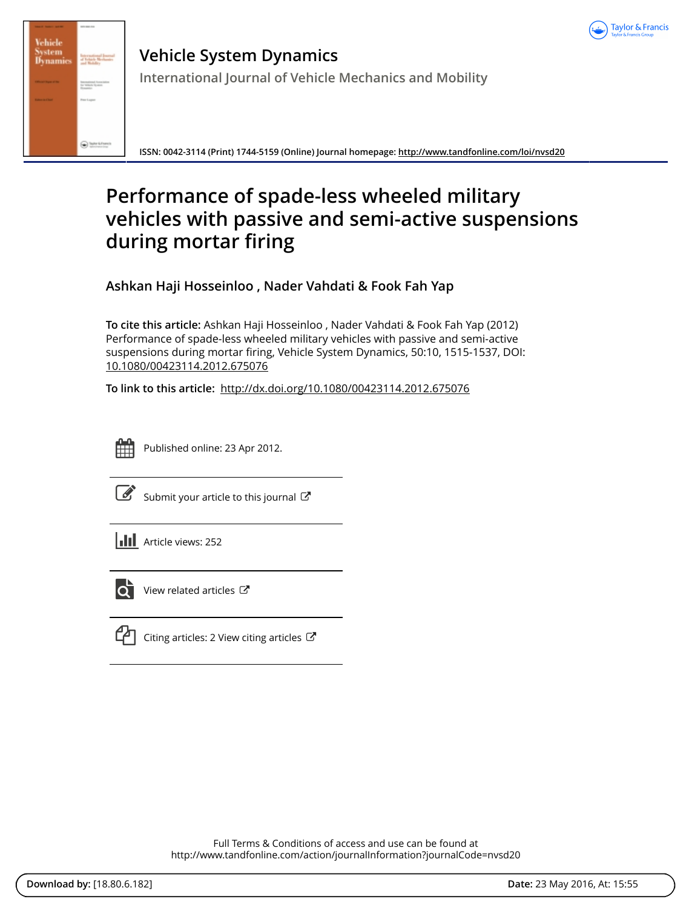



**Vehicle System Dynamics International Journal of Vehicle Mechanics and Mobility**

**ISSN: 0042-3114 (Print) 1744-5159 (Online) Journal homepage:<http://www.tandfonline.com/loi/nvsd20>**

# **Performance of spade-less wheeled military vehicles with passive and semi-active suspensions during mortar firing**

**Ashkan Haji Hosseinloo , Nader Vahdati & Fook Fah Yap**

**To cite this article:** Ashkan Haji Hosseinloo , Nader Vahdati & Fook Fah Yap (2012) Performance of spade-less wheeled military vehicles with passive and semi-active suspensions during mortar firing, Vehicle System Dynamics, 50:10, 1515-1537, DOI: [10.1080/00423114.2012.675076](http://www.tandfonline.com/action/showCitFormats?doi=10.1080/00423114.2012.675076)

**To link to this article:** <http://dx.doi.org/10.1080/00423114.2012.675076>



Published online: 23 Apr 2012.

|--|

[Submit your article to this journal](http://www.tandfonline.com/action/authorSubmission?journalCode=nvsd20&page=instructions)  $\mathbb{Z}$ 

**III** Article views: 252



 $\overline{\mathbf{C}}$  [View related articles](http://www.tandfonline.com/doi/mlt/10.1080/00423114.2012.675076)  $\mathbf{C}$ 



 $\Box$  [Citing articles: 2 View citing articles](http://www.tandfonline.com/doi/citedby/10.1080/00423114.2012.675076#tabModule)  $\Box$ 

Full Terms & Conditions of access and use can be found at <http://www.tandfonline.com/action/journalInformation?journalCode=nvsd20>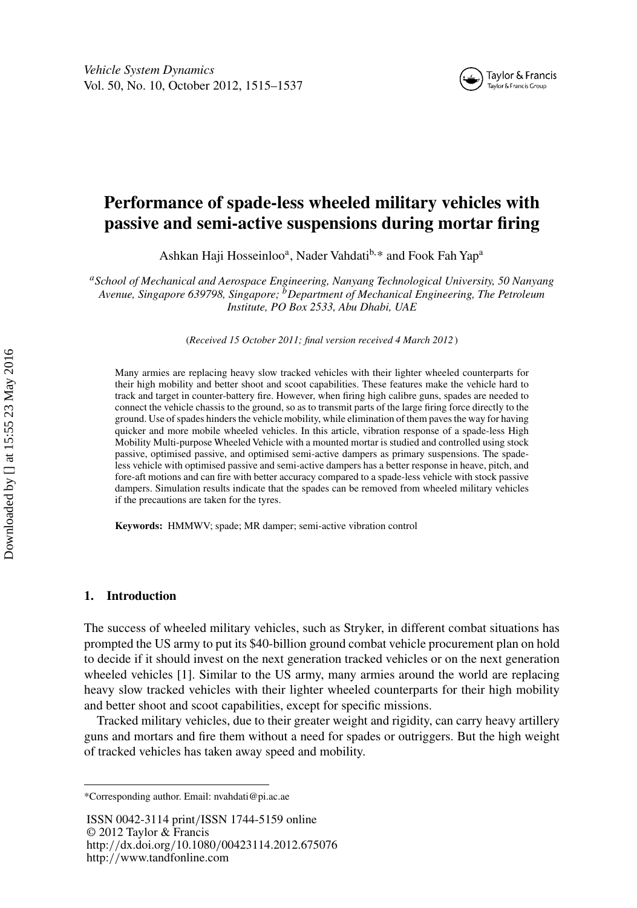

# **Performance of spade-less wheeled military vehicles with passive and semi-active suspensions during mortar firing**

Ashkan Haji Hosseinloo<sup>a</sup>, Nader Vahdati<sup>b,\*</sup> and Fook Fah Yap<sup>a</sup>

*aSchool of Mechanical and Aerospace Engineering, Nanyang Technological University, 50 Nanyang Avenue, Singapore 639798, Singapore; bDepartment of Mechanical Engineering, The Petroleum Institute, PO Box 2533, Abu Dhabi, UAE*

(*Received 15 October 2011; final version received 4 March 2012* )

Many armies are replacing heavy slow tracked vehicles with their lighter wheeled counterparts for their high mobility and better shoot and scoot capabilities. These features make the vehicle hard to track and target in counter-battery fire. However, when firing high calibre guns, spades are needed to connect the vehicle chassis to the ground, so as to transmit parts of the large firing force directly to the ground. Use of spades hinders the vehicle mobility, while elimination of them paves the way for having quicker and more mobile wheeled vehicles. In this article, vibration response of a spade-less High Mobility Multi-purpose Wheeled Vehicle with a mounted mortar is studied and controlled using stock passive, optimised passive, and optimised semi-active dampers as primary suspensions. The spadeless vehicle with optimised passive and semi-active dampers has a better response in heave, pitch, and fore-aft motions and can fire with better accuracy compared to a spade-less vehicle with stock passive dampers. Simulation results indicate that the spades can be removed from wheeled military vehicles if the precautions are taken for the tyres.

**Keywords:** HMMWV; spade; MR damper; semi-active vibration control

# **1. Introduction**

The success of wheeled military vehicles, such as Stryker, in different combat situations has prompted the US army to put its \$40-billion ground combat vehicle procurement plan on hold to decide if it should invest on the next generation tracked vehicles or on the next generation wheeled vehicles [\[1\]](#page-21-0). Similar to the US army, many armies around the world are replacing heavy slow tracked vehicles with their lighter wheeled counterparts for their high mobility and better shoot and scoot capabilities, except for specific missions.

Tracked military vehicles, due to their greater weight and rigidity, can carry heavy artillery guns and mortars and fire them without a need for spades or outriggers. But the high weight of tracked vehicles has taken away speed and mobility.

ISSN 0042-3114 print*/*ISSN 1744-5159 online © 2012 Taylor & Francis http:*//*dx.doi.org*/*10.1080*/*00423114.2012.675076 http:*//*www.tandfonline.com

<sup>\*</sup>Corresponding author. Email: nvahdati@pi.ac.ae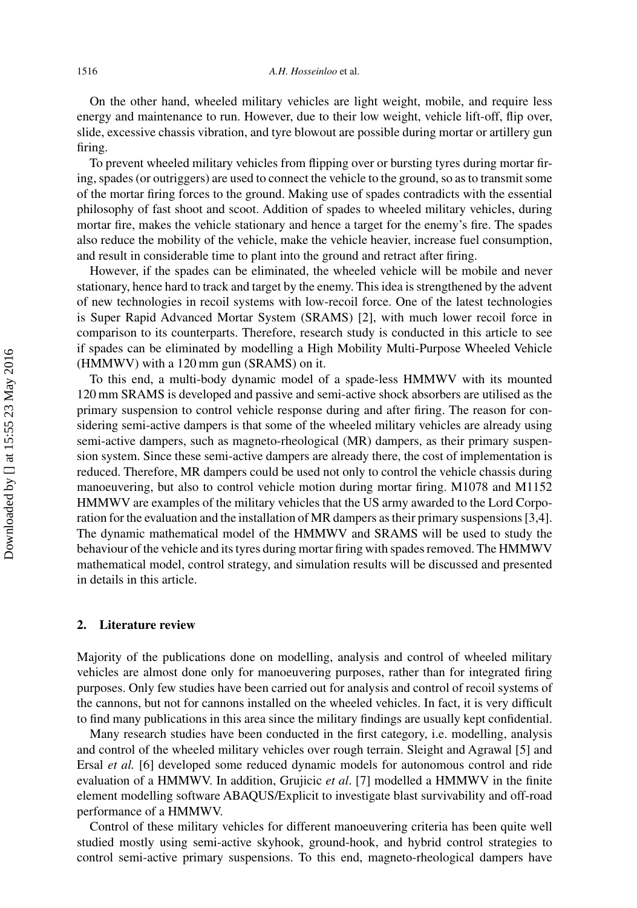On the other hand, wheeled military vehicles are light weight, mobile, and require less energy and maintenance to run. However, due to their low weight, vehicle lift-off, flip over, slide, excessive chassis vibration, and tyre blowout are possible during mortar or artillery gun firing.

To prevent wheeled military vehicles from flipping over or bursting tyres during mortar firing, spades (or outriggers) are used to connect the vehicle to the ground, so as to transmit some of the mortar firing forces to the ground. Making use of spades contradicts with the essential philosophy of fast shoot and scoot. Addition of spades to wheeled military vehicles, during mortar fire, makes the vehicle stationary and hence a target for the enemy's fire. The spades also reduce the mobility of the vehicle, make the vehicle heavier, increase fuel consumption, and result in considerable time to plant into the ground and retract after firing.

However, if the spades can be eliminated, the wheeled vehicle will be mobile and never stationary, hence hard to track and target by the enemy. This idea is strengthened by the advent of new technologies in recoil systems with low-recoil force. One of the latest technologies is Super Rapid Advanced Mortar System (SRAMS) [\[2\]](#page-21-0), with much lower recoil force in comparison to its counterparts. Therefore, research study is conducted in this article to see if spades can be eliminated by modelling a High Mobility Multi-Purpose Wheeled Vehicle (HMMWV) with a 120 mm gun (SRAMS) on it.

To this end, a multi-body dynamic model of a spade-less HMMWV with its mounted 120 mm SRAMS is developed and passive and semi-active shock absorbers are utilised as the primary suspension to control vehicle response during and after firing. The reason for considering semi-active dampers is that some of the wheeled military vehicles are already using semi-active dampers, such as magneto-rheological (MR) dampers, as their primary suspension system. Since these semi-active dampers are already there, the cost of implementation is reduced. Therefore, MR dampers could be used not only to control the vehicle chassis during manoeuvering, but also to control vehicle motion during mortar firing. M1078 and M1152 HMMWV are examples of the military vehicles that the US army awarded to the Lord Corporation for the evaluation and the installation of MR dampers as their primary suspensions [\[3,4](#page-21-0)]. The dynamic mathematical model of the HMMWV and SRAMS will be used to study the behaviour of the vehicle and its tyres during mortar firing with spades removed. The HMMWV mathematical model, control strategy, and simulation results will be discussed and presented in details in this article.

#### **2. Literature review**

Majority of the publications done on modelling, analysis and control of wheeled military vehicles are almost done only for manoeuvering purposes, rather than for integrated firing purposes. Only few studies have been carried out for analysis and control of recoil systems of the cannons, but not for cannons installed on the wheeled vehicles. In fact, it is very difficult to find many publications in this area since the military findings are usually kept confidential.

Many research studies have been conducted in the first category, i.e. modelling, analysis and control of the wheeled military vehicles over rough terrain. Sleight and Agrawal [\[5\]](#page-22-0) and Ersal *et al.* [\[6](#page-22-0)] developed some reduced dynamic models for autonomous control and ride evaluation of a HMMWV. In addition, Grujicic *et al*. [\[7\]](#page-22-0) modelled a HMMWV in the finite element modelling software ABAQUS/Explicit to investigate blast survivability and off-road performance of a HMMWV.

Control of these military vehicles for different manoeuvering criteria has been quite well studied mostly using semi-active skyhook, ground-hook, and hybrid control strategies to control semi-active primary suspensions. To this end, magneto-rheological dampers have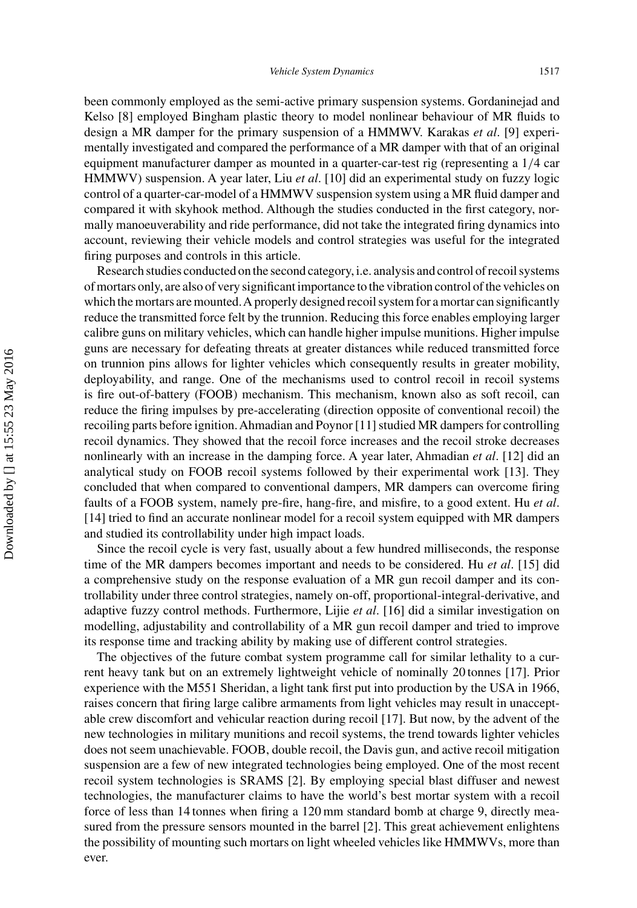been commonly employed as the semi-active primary suspension systems. Gordaninejad and Kelso [\[8\]](#page-22-0) employed Bingham plastic theory to model nonlinear behaviour of MR fluids to design a MR damper for the primary suspension of a HMMWV. Karakas *et al*. [\[9](#page-22-0)] experimentally investigated and compared the performance of a MR damper with that of an original equipment manufacturer damper as mounted in a quarter-car-test rig (representing a 1*/*4 car HMMWV) suspension. A year later, Liu *et al*. [\[10\]](#page-22-0) did an experimental study on fuzzy logic control of a quarter-car-model of a HMMWV suspension system using a MR fluid damper and compared it with skyhook method. Although the studies conducted in the first category, normally manoeuverability and ride performance, did not take the integrated firing dynamics into account, reviewing their vehicle models and control strategies was useful for the integrated firing purposes and controls in this article.

Research studies conducted on the second category, i.e. analysis and control of recoil systems of mortars only, are also of very significant importance to the vibration control of the vehicles on which the mortars are mounted.A properly designed recoil system for a mortar can significantly reduce the transmitted force felt by the trunnion. Reducing this force enables employing larger calibre guns on military vehicles, which can handle higher impulse munitions. Higher impulse guns are necessary for defeating threats at greater distances while reduced transmitted force on trunnion pins allows for lighter vehicles which consequently results in greater mobility, deployability, and range. One of the mechanisms used to control recoil in recoil systems is fire out-of-battery (FOOB) mechanism. This mechanism, known also as soft recoil, can reduce the firing impulses by pre-accelerating (direction opposite of conventional recoil) the recoiling parts before ignition.Ahmadian and Poynor [\[11](#page-22-0)] studied MR dampers for controlling recoil dynamics. They showed that the recoil force increases and the recoil stroke decreases nonlinearly with an increase in the damping force. A year later, Ahmadian *et al*. [\[12\]](#page-22-0) did an analytical study on FOOB recoil systems followed by their experimental work [\[13](#page-22-0)]. They concluded that when compared to conventional dampers, MR dampers can overcome firing faults of a FOOB system, namely pre-fire, hang-fire, and misfire, to a good extent. Hu *et al*. [\[14\]](#page-22-0) tried to find an accurate nonlinear model for a recoil system equipped with MR dampers and studied its controllability under high impact loads.

Since the recoil cycle is very fast, usually about a few hundred milliseconds, the response time of the MR dampers becomes important and needs to be considered. Hu *et al*. [\[15\]](#page-22-0) did a comprehensive study on the response evaluation of a MR gun recoil damper and its controllability under three control strategies, namely on-off, proportional-integral-derivative, and adaptive fuzzy control methods. Furthermore, Lijie *et al*. [\[16](#page-22-0)] did a similar investigation on modelling, adjustability and controllability of a MR gun recoil damper and tried to improve its response time and tracking ability by making use of different control strategies.

The objectives of the future combat system programme call for similar lethality to a current heavy tank but on an extremely lightweight vehicle of nominally 20 tonnes [\[17\]](#page-22-0). Prior experience with the M551 Sheridan, a light tank first put into production by the USA in 1966, raises concern that firing large calibre armaments from light vehicles may result in unacceptable crew discomfort and vehicular reaction during recoil [\[17\]](#page-22-0). But now, by the advent of the new technologies in military munitions and recoil systems, the trend towards lighter vehicles does not seem unachievable. FOOB, double recoil, the Davis gun, and active recoil mitigation suspension are a few of new integrated technologies being employed. One of the most recent recoil system technologies is SRAMS [\[2](#page-21-0)]. By employing special blast diffuser and newest technologies, the manufacturer claims to have the world's best mortar system with a recoil force of less than 14 tonnes when firing a 120 mm standard bomb at charge 9, directly measured from the pressure sensors mounted in the barrel [\[2\]](#page-21-0). This great achievement enlightens the possibility of mounting such mortars on light wheeled vehicles like HMMWVs, more than ever.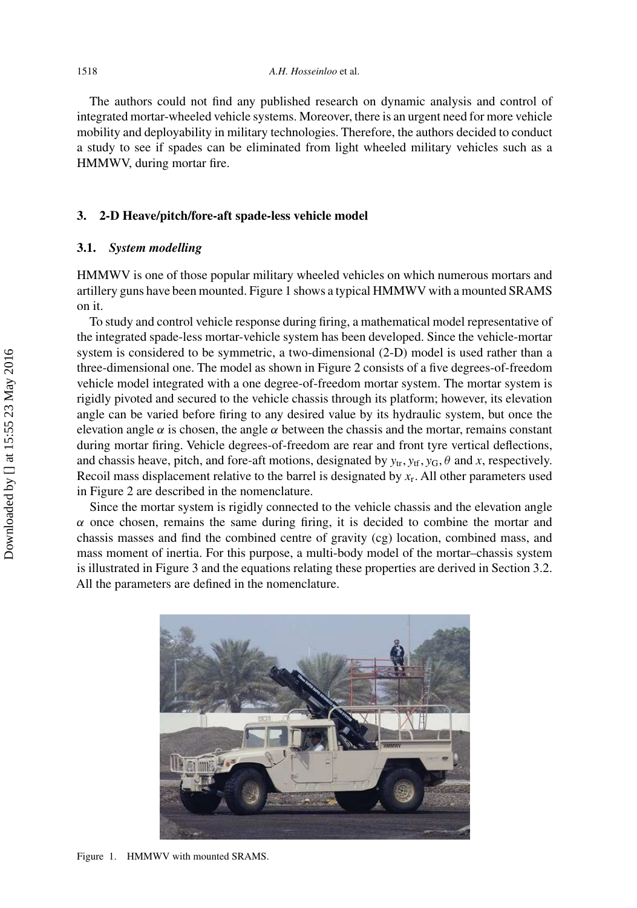The authors could not find any published research on dynamic analysis and control of integrated mortar-wheeled vehicle systems. Moreover, there is an urgent need for more vehicle mobility and deployability in military technologies. Therefore, the authors decided to conduct a study to see if spades can be eliminated from light wheeled military vehicles such as a HMMWV, during mortar fire.

# **3. 2-D Heave/pitch/fore-aft spade-less vehicle model**

# **3.1.** *System modelling*

HMMWV is one of those popular military wheeled vehicles on which numerous mortars and artillery guns have been mounted. Figure 1 shows a typical HMMWV with a mounted SRAMS on it.

To study and control vehicle response during firing, a mathematical model representative of the integrated spade-less mortar-vehicle system has been developed. Since the vehicle-mortar system is considered to be symmetric, a two-dimensional (2-D) model is used rather than a three-dimensional one. The model as shown in Figure [2](#page-5-0) consists of a five degrees-of-freedom vehicle model integrated with a one degree-of-freedom mortar system. The mortar system is rigidly pivoted and secured to the vehicle chassis through its platform; however, its elevation angle can be varied before firing to any desired value by its hydraulic system, but once the elevation angle  $\alpha$  is chosen, the angle  $\alpha$  between the chassis and the mortar, remains constant during mortar firing. Vehicle degrees-of-freedom are rear and front tyre vertical deflections, and chassis heave, pitch, and fore-aft motions, designated by  $y<sub>tr</sub>, y<sub>tr</sub>, y<sub>g</sub>, \theta$  and *x*, respectively. Recoil mass displacement relative to the barrel is designated by *x*r. All other parameters used in Figure [2](#page-5-0) are described in the nomenclature.

Since the mortar system is rigidly connected to the vehicle chassis and the elevation angle  $\alpha$  once chosen, remains the same during firing, it is decided to combine the mortar and chassis masses and find the combined centre of gravity (cg) location, combined mass, and mass moment of inertia. For this purpose, a multi-body model of the mortar–chassis system is illustrated in Figure [3](#page-5-0) and the equations relating these properties are derived in Section 3.2. All the parameters are defined in the nomenclature.



Figure 1. HMMWV with mounted SRAMS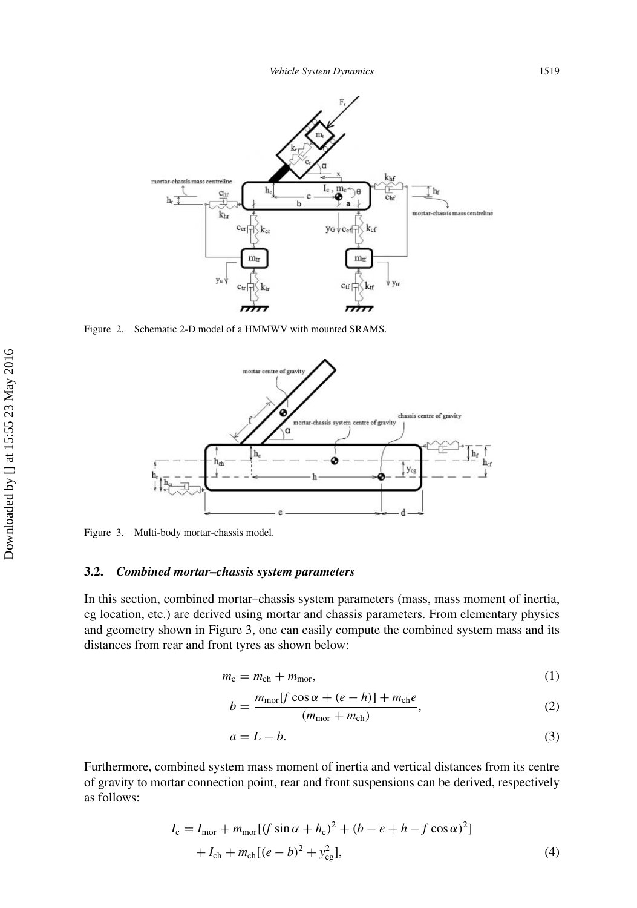<span id="page-5-0"></span>

Figure 2. Schematic 2-D model of a HMMWV with mounted SRAMS.



Figure 3. Multi-body mortar-chassis model.

# **3.2.** *Combined mortar–chassis system parameters*

In this section, combined mortar–chassis system parameters (mass, mass moment of inertia, cg location, etc.) are derived using mortar and chassis parameters. From elementary physics and geometry shown in Figure 3, one can easily compute the combined system mass and its distances from rear and front tyres as shown below:

$$
m_{\rm c} = m_{\rm ch} + m_{\rm mor},\tag{1}
$$

$$
b = \frac{m_{\text{mor}}[f\cos\alpha + (e - h)] + m_{\text{ch}}e}{(m_{\text{mor}} + m_{\text{ch}})},
$$
\n(2)

$$
a = L - b.\tag{3}
$$

Furthermore, combined system mass moment of inertia and vertical distances from its centre of gravity to mortar connection point, rear and front suspensions can be derived, respectively as follows:

$$
I_{c} = I_{\text{mor}} + m_{\text{mor}}[(f \sin \alpha + h_{c})^{2} + (b - e + h - f \cos \alpha)^{2}]
$$
  
+ 
$$
I_{\text{ch}} + m_{\text{ch}}[(e - b)^{2} + y_{\text{cg}}^{2}],
$$
 (4)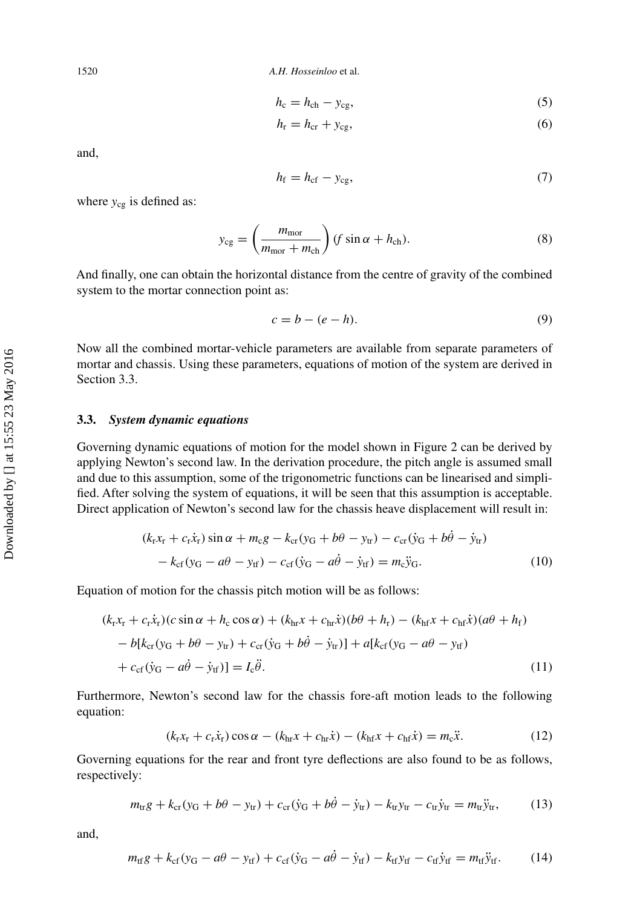<span id="page-6-0"></span>1520 *A.H. Hosseinloo* et al.

$$
h_{\rm c} = h_{\rm ch} - y_{\rm cg},\tag{5}
$$

$$
h_{\rm r} = h_{\rm cr} + y_{\rm cg},\tag{6}
$$

and,

$$
h_{\rm f} = h_{\rm cf} - y_{\rm cg},\tag{7}
$$

where  $y_{cg}$  is defined as:

$$
y_{cg} = \left(\frac{m_{\text{mor}}}{m_{\text{mor}} + m_{\text{ch}}}\right) (f \sin \alpha + h_{\text{ch}}). \tag{8}
$$

And finally, one can obtain the horizontal distance from the centre of gravity of the combined system to the mortar connection point as:

$$
c = b - (e - h). \tag{9}
$$

Now all the combined mortar-vehicle parameters are available from separate parameters of mortar and chassis. Using these parameters, equations of motion of the system are derived in Section 3.3.

# **3.3.** *System dynamic equations*

Governing dynamic equations of motion for the model shown in Figure [2](#page-5-0) can be derived by applying Newton's second law. In the derivation procedure, the pitch angle is assumed small and due to this assumption, some of the trigonometric functions can be linearised and simplified. After solving the system of equations, it will be seen that this assumption is acceptable. Direct application of Newton's second law for the chassis heave displacement will result in:

$$
(k_{\rm r}x_{\rm r} + c_{\rm r}\dot{x}_{\rm r})\sin\alpha + m_{\rm c}g - k_{\rm cr}(y_{\rm G} + b\theta - y_{\rm tr}) - c_{\rm cr}(\dot{y}_{\rm G} + b\dot{\theta} - \dot{y}_{\rm tr})
$$

$$
-k_{\rm cf}(y_{\rm G} - a\theta - y_{\rm tf}) - c_{\rm cf}(\dot{y}_{\rm G} - a\dot{\theta} - \dot{y}_{\rm tf}) = m_{\rm c}\ddot{y}_{\rm G}.
$$
(10)

Equation of motion for the chassis pitch motion will be as follows:

$$
(k_{\rm r}x_{\rm r} + c_{\rm r}\dot{x}_{\rm r})(c\sin\alpha + h_{\rm c}\cos\alpha) + (k_{\rm hr}x + c_{\rm hr}\dot{x})(b\theta + h_{\rm r}) - (k_{\rm hf}x + c_{\rm hf}\dot{x})(a\theta + h_{\rm f})
$$
  
\n
$$
-b[k_{\rm cr}(y_{\rm G} + b\theta - y_{\rm tr}) + c_{\rm cr}(\dot{y}_{\rm G} + b\dot{\theta} - \dot{y}_{\rm tr})] + a[k_{\rm cf}(y_{\rm G} - a\theta - y_{\rm tf})
$$
  
\n
$$
+ c_{\rm cf}(\dot{y}_{\rm G} - a\dot{\theta} - \dot{y}_{\rm tf})] = I_{\rm c}\ddot{\theta}.
$$
\n(11)

Furthermore, Newton's second law for the chassis fore-aft motion leads to the following equation:

$$
(k_{\rm r}x_{\rm r} + c_{\rm r}\dot{x}_{\rm r})\cos\alpha - (k_{\rm hr}x + c_{\rm hr}\dot{x}) - (k_{\rm hf}x + c_{\rm hf}\dot{x}) = m_{\rm c}\ddot{x}.\tag{12}
$$

Governing equations for the rear and front tyre deflections are also found to be as follows, respectively:

$$
m_{\rm tr}g + k_{\rm cr}(y_{\rm G} + b\theta - y_{\rm tr}) + c_{\rm cr}(\dot{y}_{\rm G} + b\theta - \dot{y}_{\rm tr}) - k_{\rm tr}y_{\rm tr} - c_{\rm tr}\dot{y}_{\rm tr} = m_{\rm tr}\ddot{y}_{\rm tr},\tag{13}
$$

and,

$$
m_{\rm tf}g + k_{\rm cf}(y_{\rm G} - a\theta - y_{\rm tf}) + c_{\rm cf}(\dot{y}_{\rm G} - a\dot{\theta} - \dot{y}_{\rm tf}) - k_{\rm tf}y_{\rm tf} - c_{\rm tf}\dot{y}_{\rm tf} = m_{\rm tf}\ddot{y}_{\rm tf}.
$$
 (14)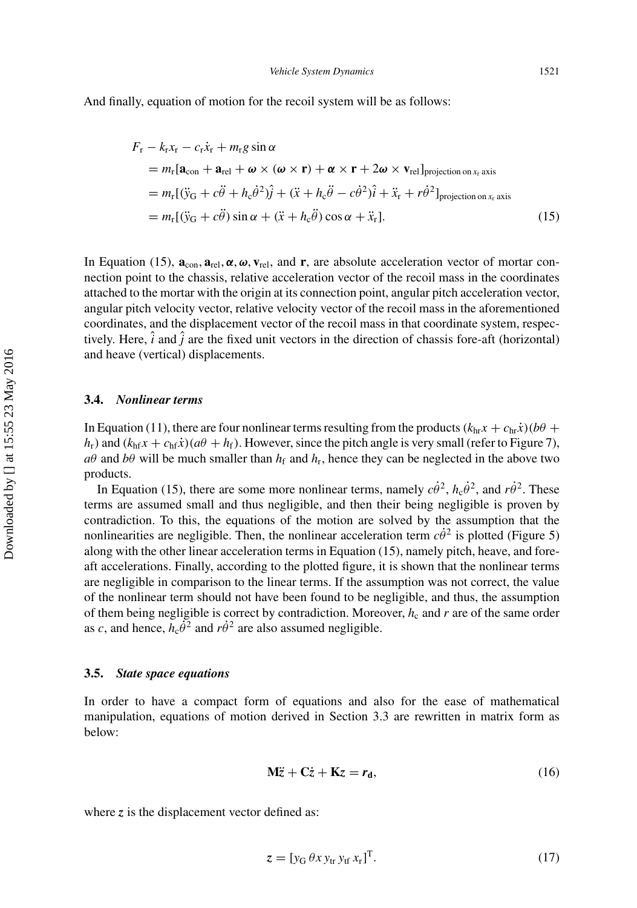<span id="page-7-0"></span>And finally, equation of motion for the recoil system will be as follows:

$$
F_{\rm r} - k_{\rm r}x_{\rm r} - c_{\rm r}\dot{x}_{\rm r} + m_{\rm r}g\sin\alpha
$$
  
=  $m_{\rm r}[{\bf a}_{\rm con} + {\bf a}_{\rm rel} + \omega \times (\omega \times {\bf r}) + \alpha \times {\bf r} + 2\omega \times {\bf v}_{\rm rel}]_{\rm projection\ on\ x_{\rm r}}\text{ axis}$   
=  $m_{\rm r}[(\ddot{y}_{\rm G} + c\ddot{\theta} + h_{\rm c}\dot{\theta}^2)\hat{j} + (\ddot{x} + h_{\rm c}\ddot{\theta} - c\dot{\theta}^2)\hat{i} + \ddot{x}_{\rm r} + r\dot{\theta}^2]_{\rm projection\ on\ x_{\rm r}}\text{ axis}$   
=  $m_{\rm r}[(\ddot{y}_{\rm G} + c\ddot{\theta})\sin\alpha + (\ddot{x} + h_{\rm c}\ddot{\theta})\cos\alpha + \ddot{x}_{\rm r}].$  (15)

In Equation (15),  $\mathbf{a}_{\text{con}}, \mathbf{a}_{\text{rel}}, \boldsymbol{\alpha}, \boldsymbol{\omega}, \mathbf{v}_{\text{rel}},$  and **r**, are absolute acceleration vector of mortar connection point to the chassis, relative acceleration vector of the recoil mass in the coordinates attached to the mortar with the origin at its connection point, angular pitch acceleration vector, angular pitch velocity vector, relative velocity vector of the recoil mass in the aforementioned coordinates, and the displacement vector of the recoil mass in that coordinate system, respectively. Here,  $\hat{i}$  and  $\hat{j}$  are the fixed unit vectors in the direction of chassis fore-aft (horizontal) and heave (vertical) displacements.

#### **3.4.** *Nonlinear terms*

In Equation [\(11\)](#page-6-0), there are four nonlinear terms resulting from the products  $(k<sub>hr</sub>x + c<sub>hr</sub>x)(b\theta + c$  $h_r$ ) and  $(k<sub>hf</sub>x + c<sub>hf</sub>x)(a\theta + h_f)$ . However, since the pitch angle is very small (refer to Figure [7\)](#page-14-0),  $a\theta$  and  $b\theta$  will be much smaller than  $h_f$  and  $h_r$ , hence they can be neglected in the above two products.

In Equation (15), there are some more nonlinear terms, namely  $c\dot{\theta}^2$ ,  $h_c\dot{\theta}^2$ , and  $r\dot{\theta}^2$ . These terms are assumed small and thus negligible, and then their being negligible is proven by contradiction. To this, the equations of the motion are solved by the assumption that the nonlinearities are negligible. Then, the nonlinear acceleration term  $c\dot{\theta}^2$  is plotted (Figure [5\)](#page-12-0) along with the other linear acceleration terms in Equation (15), namely pitch, heave, and foreaft accelerations. Finally, according to the plotted figure, it is shown that the nonlinear terms are negligible in comparison to the linear terms. If the assumption was not correct, the value of the nonlinear term should not have been found to be negligible, and thus, the assumption of them being negligible is correct by contradiction. Moreover,  $h_c$  and  $r$  are of the same order as *c*, and hence,  $h_c\dot{\theta}^2$  and  $r\dot{\theta}^2$  are also assumed negligible.

#### **3.5.** *State space equations*

In order to have a compact form of equations and also for the ease of mathematical manipulation, equations of motion derived in Section 3.3 are rewritten in matrix form as below:

$$
\mathbf{M}\ddot{z} + \mathbf{C}\dot{z} + \mathbf{K}z = r_{\mathbf{d}},\tag{16}
$$

where *z* is the displacement vector defined as:

$$
z = [y_G \theta x y_{tr} y_{tf} x_r]^T. \tag{17}
$$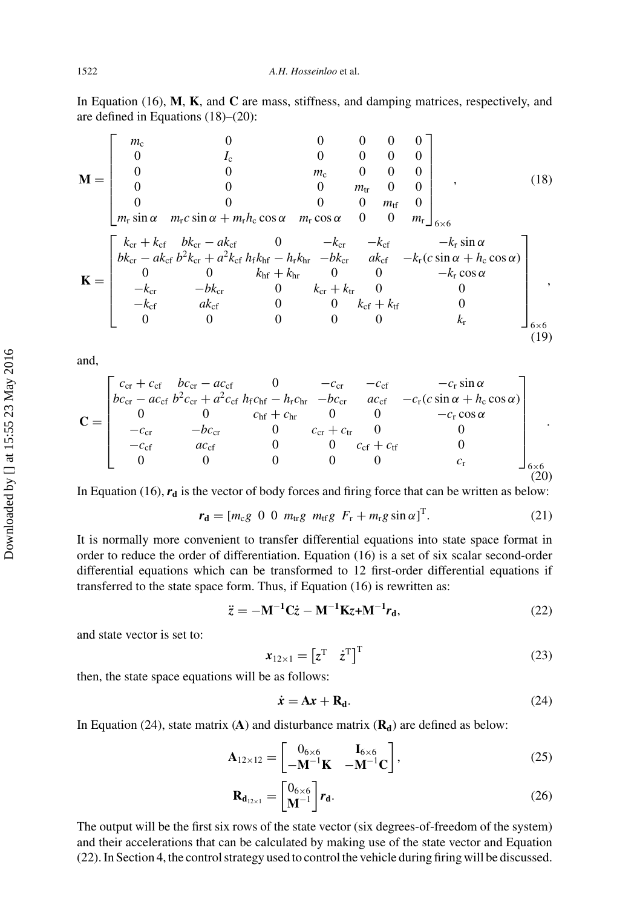In Equation [\(16\)](#page-7-0), **M**, **K**, and **C** are mass, stiffness, and damping matrices, respectively, and are defined in Equations (18)–(20):

$$
\mathbf{M} = \begin{bmatrix}\n m_c & 0 & 0 & 0 & 0 & 0 \\
0 & I_c & 0 & 0 & 0 & 0 \\
0 & 0 & m_c & 0 & 0 & 0 \\
0 & 0 & 0 & m_{tr} & 0 & 0 \\
0 & 0 & 0 & 0 & m_{rf} & 0 \\
m_r \sin \alpha & m_r c \sin \alpha + m_r h_c \cos \alpha & m_r \cos \alpha & 0 & 0 \\
k_{cr} + k_{cr} & b k_{cr} - a k_{cr} & b k_{cr} - a k_{cr} & b k_{cr} + a^2 k_{cr} & h_f k_{hf} - h_r k_{hr} & -b k_{cr} & a k_{cr} & -k_r (c \sin \alpha + h_c \cos \alpha) \\
0 & 0 & k_{hf} + k_{hr} & 0 & 0 & -k_r \cos \alpha \\
-k_{cr} & -b k_{cr} & 0 & 0 & k_{cr} + k_{tr} & 0 & 0 \\
-k_{cr} & a k_{cr} & 0 & 0 & 0 & k_{c} + k_{tr} & 0 \\
0 & 0 & 0 & 0 & 0 & k_r\n\end{bmatrix},
$$
\n(18)

and,

$$
\mathbf{C} = \begin{bmatrix} c_{cr} + c_{cf} & bc_{cr} - ac_{cf} & 0 & -c_{cr} & -c_{cf} & -c_{r} \sin \alpha \\ bc_{cr} - ac_{cf} & b^2 c_{cr} + a^2 c_{cf} & h_f c_{hf} - h_r c_{hr} & -bc_{cr} & ac_{cf} & -c_{r} (c \sin \alpha + h_c \cos \alpha) \\ 0 & 0 & c_{hf} + c_{hr} & 0 & 0 & -c_{r} \cos \alpha \\ -c_{cr} & -bc_{cr} & 0 & c_{cr} + c_{tr} & 0 & 0 \\ -c_{cf} & ac_{cf} & 0 & 0 & c_{cf} + c_{tf} & 0 \\ 0 & 0 & 0 & 0 & c_{r} & 0 \end{bmatrix}_{6 \times 6}_{(20)}
$$

In Equation [\(16\)](#page-7-0),  $r_d$  is the vector of body forces and firing force that can be written as below:

$$
\boldsymbol{r_d} = [m_c g \ 0 \ 0 \ m_{tr} g \ m_{tf} g \ F_r + m_r g \sin \alpha]^T. \tag{21}
$$

It is normally more convenient to transfer differential equations into state space format in order to reduce the order of differentiation. Equation [\(16\)](#page-7-0) is a set of six scalar second-order differential equations which can be transformed to 12 first-order differential equations if transferred to the state space form. Thus, if Equation [\(16\)](#page-7-0) is rewritten as:

$$
\ddot{z} = -M^{-1}C\dot{z} - M^{-1}Kz + M^{-1}r_d,
$$
\n(22)

and state vector is set to:

$$
\boldsymbol{x}_{12\times1} = \begin{bmatrix} z^{\mathrm{T}} & \dot{z}^{\mathrm{T}} \end{bmatrix}^{\mathrm{T}} \tag{23}
$$

then, the state space equations will be as follows:

$$
\dot{x} = Ax + R_d. \tag{24}
$$

In Equation (24), state matrix  $(A)$  and disturbance matrix  $(R_d)$  are defined as below:

$$
\mathbf{A}_{12\times12} = \begin{bmatrix} 0_{6\times6} & \mathbf{I}_{6\times6} \\ -\mathbf{M}^{-1}\mathbf{K} & -\mathbf{M}^{-1}\mathbf{C} \end{bmatrix},\tag{25}
$$

$$
\mathbf{R}_{\mathbf{d}_{12\times1}} = \begin{bmatrix} 0_{6\times6} \\ \mathbf{M}^{-1} \end{bmatrix} r_{\mathbf{d}}.
$$
 (26)

The output will be the first six rows of the state vector (six degrees-of-freedom of the system) and their accelerations that can be calculated by making use of the state vector and Equation (22). In Section 4, the control strategy used to control the vehicle during firing will be discussed.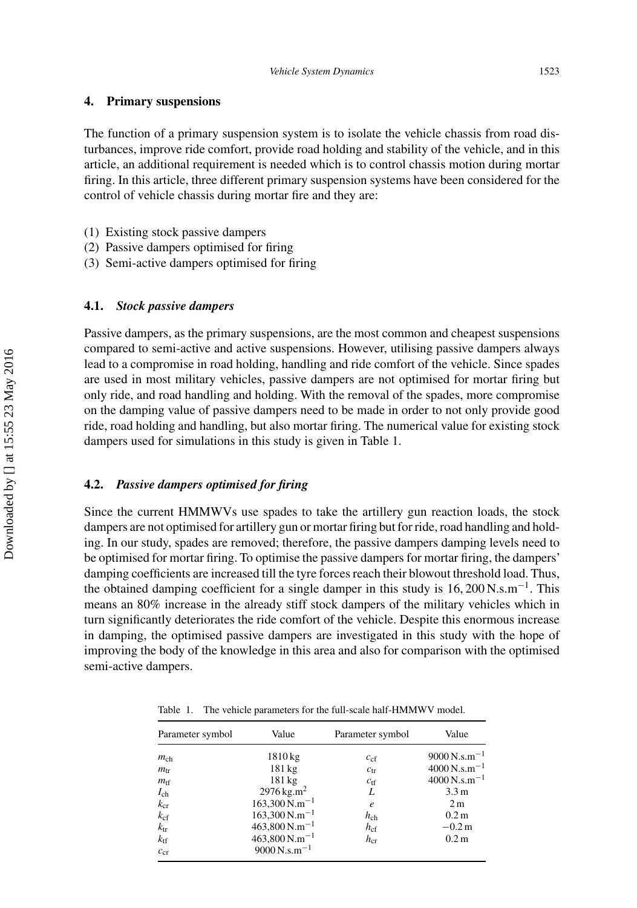# <span id="page-9-0"></span>**4. Primary suspensions**

The function of a primary suspension system is to isolate the vehicle chassis from road disturbances, improve ride comfort, provide road holding and stability of the vehicle, and in this article, an additional requirement is needed which is to control chassis motion during mortar firing. In this article, three different primary suspension systems have been considered for the control of vehicle chassis during mortar fire and they are:

- (1) Existing stock passive dampers
- (2) Passive dampers optimised for firing
- (3) Semi-active dampers optimised for firing

# **4.1.** *Stock passive dampers*

Passive dampers, as the primary suspensions, are the most common and cheapest suspensions compared to semi-active and active suspensions. However, utilising passive dampers always lead to a compromise in road holding, handling and ride comfort of the vehicle. Since spades are used in most military vehicles, passive dampers are not optimised for mortar firing but only ride, and road handling and holding. With the removal of the spades, more compromise on the damping value of passive dampers need to be made in order to not only provide good ride, road holding and handling, but also mortar firing. The numerical value for existing stock dampers used for simulations in this study is given in Table 1.

# **4.2.** *Passive dampers optimised for firing*

Since the current HMMWVs use spades to take the artillery gun reaction loads, the stock dampers are not optimised for artillery gun or mortar firing but for ride, road handling and holding. In our study, spades are removed; therefore, the passive dampers damping levels need to be optimised for mortar firing. To optimise the passive dampers for mortar firing, the dampers' damping coefficients are increased till the tyre forces reach their blowout threshold load. Thus, the obtained damping coefficient for a single damper in this study is 16, 200 N.s.m−1. This means an 80% increase in the already stiff stock dampers of the military vehicles which in turn significantly deteriorates the ride comfort of the vehicle. Despite this enormous increase in damping, the optimised passive dampers are investigated in this study with the hope of improving the body of the knowledge in this area and also for comparison with the optimised semi-active dampers.

| Parameter symbol | Value                                   | Parameter symbol | Value             |
|------------------|-----------------------------------------|------------------|-------------------|
| $m_{\rm ch}$     | $1810 \text{ kg}$                       | $c_{cf}$         | $9000 N.s.m^{-1}$ |
| $m_{\rm tr}$     | $181 \text{ kg}$                        | $c_{\rm tr}$     | $4000 N.s.m-1$    |
| $m_{\rm tf}$     | $181 \text{ kg}$                        | $c_{\text{tf}}$  | $4000 N.s.m-1$    |
| $I_{\rm ch}$     | $2976 \,\mathrm{kg} \cdot \mathrm{m}^2$ | L                | 3.3 <sub>m</sub>  |
| $k_{cr}$         | $163,300$ N.m <sup>-1</sup>             | $\epsilon$       | 2 <sub>m</sub>    |
| $k_{\rm cf}$     | $163,300$ N.m <sup>-1</sup>             | $h_{ch}$         | 0.2 <sub>m</sub>  |
| $k_{\rm tr}$     | $463,800$ N.m <sup>-1</sup>             | $h_{cf}$         | $-0.2 m$          |
| $k_{\rm tf}$     | $463,800$ N.m <sup>-1</sup>             | $h_{cr}$         | 0.2 <sub>m</sub>  |
| $c_{cr}$         | $9000 N.s.m-1$                          |                  |                   |

Table 1. The vehicle parameters for the full-scale half-HMMWV model.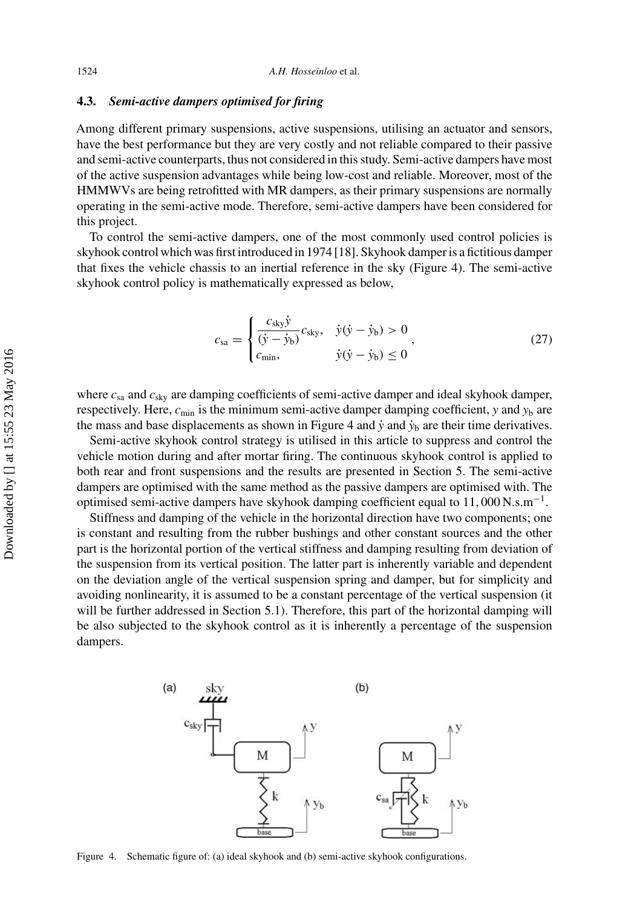# <span id="page-10-0"></span>**4.3.** *Semi-active dampers optimised for firing*

Among different primary suspensions, active suspensions, utilising an actuator and sensors, have the best performance but they are very costly and not reliable compared to their passive and semi-active counterparts, thus not considered in this study. Semi-active dampers have most of the active suspension advantages while being low-cost and reliable. Moreover, most of the HMMWVs are being retrofitted with MR dampers, as their primary suspensions are normally operating in the semi-active mode. Therefore, semi-active dampers have been considered for this project.

To control the semi-active dampers, one of the most commonly used control policies is skyhook control which was first introduced in 1974 [\[18](#page-22-0)]. Skyhook damper is a fictitious damper that fixes the vehicle chassis to an inertial reference in the sky (Figure 4). The semi-active skyhook control policy is mathematically expressed as below,

$$
c_{sa} = \begin{cases} \frac{c_{sky}\dot{y}}{(\dot{y} - \dot{y}_b)} c_{sky}, & \dot{y}(\dot{y} - \dot{y}_b) > 0\\ c_{min}, & \dot{y}(\dot{y} - \dot{y}_b) \le 0 \end{cases},
$$
(27)

where  $c_{sa}$  and  $c_{sky}$  are damping coefficients of semi-active damper and ideal skyhook damper, respectively. Here,  $c_{\text{min}}$  is the minimum semi-active damper damping coefficient, *y* and *y*<sub>b</sub> are the mass and base displacements as shown in Figure 4 and  $\dot{y}$  and  $\dot{y}_b$  are their time derivatives.

Semi-active skyhook control strategy is utilised in this article to suppress and control the vehicle motion during and after mortar firing. The continuous skyhook control is applied to both rear and front suspensions and the results are presented in Section 5. The semi-active dampers are optimised with the same method as the passive dampers are optimised with. The optimised semi-active dampers have skyhook damping coefficient equal to  $11,000 \text{ N.s.m}^{-1}$ .

Stiffness and damping of the vehicle in the horizontal direction have two components; one is constant and resulting from the rubber bushings and other constant sources and the other part is the horizontal portion of the vertical stiffness and damping resulting from deviation of the suspension from its vertical position. The latter part is inherently variable and dependent on the deviation angle of the vertical suspension spring and damper, but for simplicity and avoiding nonlinearity, it is assumed to be a constant percentage of the vertical suspension (it will be further addressed in Section 5.1). Therefore, this part of the horizontal damping will be also subjected to the skyhook control as it is inherently a percentage of the suspension dampers.



Figure 4. Schematic figure of: (a) ideal skyhook and (b) semi-active skyhook configurations.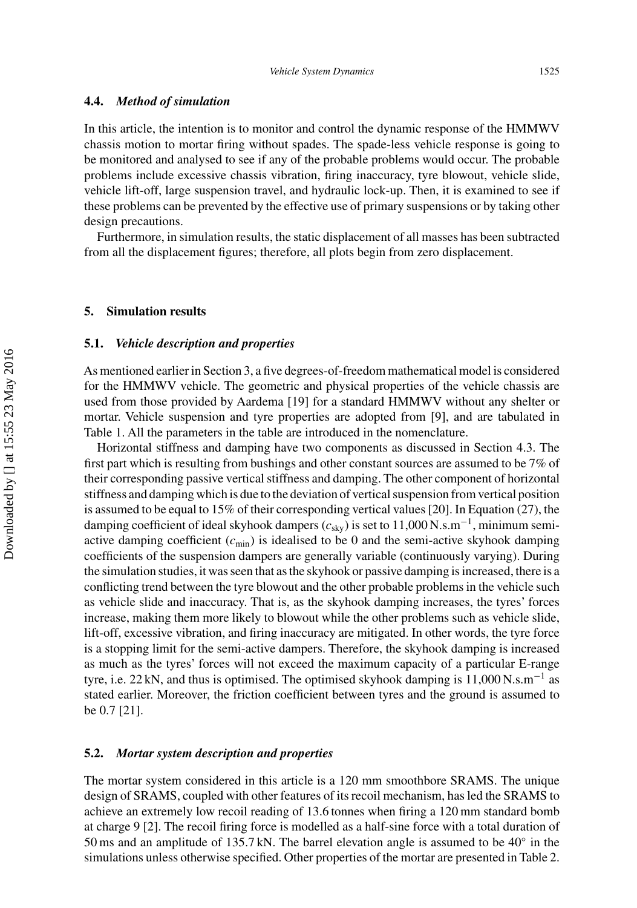# **4.4.** *Method of simulation*

In this article, the intention is to monitor and control the dynamic response of the HMMWV chassis motion to mortar firing without spades. The spade-less vehicle response is going to be monitored and analysed to see if any of the probable problems would occur. The probable problems include excessive chassis vibration, firing inaccuracy, tyre blowout, vehicle slide, vehicle lift-off, large suspension travel, and hydraulic lock-up. Then, it is examined to see if these problems can be prevented by the effective use of primary suspensions or by taking other design precautions.

Furthermore, in simulation results, the static displacement of all masses has been subtracted from all the displacement figures; therefore, all plots begin from zero displacement.

# **5. Simulation results**

#### **5.1.** *Vehicle description and properties*

As mentioned earlier in Section 3, a five degrees-of-freedom mathematical model is considered for the HMMWV vehicle. The geometric and physical properties of the vehicle chassis are used from those provided by Aardema [\[19](#page-22-0)] for a standard HMMWV without any shelter or mortar. Vehicle suspension and tyre properties are adopted from [\[9](#page-22-0)], and are tabulated in Table [1.](#page-9-0) All the parameters in the table are introduced in the nomenclature.

Horizontal stiffness and damping have two components as discussed in Section 4.3. The first part which is resulting from bushings and other constant sources are assumed to be 7% of their corresponding passive vertical stiffness and damping. The other component of horizontal stiffness and damping which is due to the deviation of vertical suspension from vertical position is assumed to be equal to 15% of their corresponding vertical values [\[20](#page-22-0)]. In Equation [\(27\)](#page-10-0), the damping coefficient of ideal skyhook dampers (*c*sky) is set to 11,000 N.s.m−1, minimum semiactive damping coefficient (*c*min) is idealised to be 0 and the semi-active skyhook damping coefficients of the suspension dampers are generally variable (continuously varying). During the simulation studies, it was seen that as the skyhook or passive damping is increased, there is a conflicting trend between the tyre blowout and the other probable problems in the vehicle such as vehicle slide and inaccuracy. That is, as the skyhook damping increases, the tyres' forces increase, making them more likely to blowout while the other problems such as vehicle slide, lift-off, excessive vibration, and firing inaccuracy are mitigated. In other words, the tyre force is a stopping limit for the semi-active dampers. Therefore, the skyhook damping is increased as much as the tyres' forces will not exceed the maximum capacity of a particular E-range tyre, i.e. 22 kN, and thus is optimised. The optimised skyhook damping is  $11,000$  N.s.m<sup>-1</sup> as stated earlier. Moreover, the friction coefficient between tyres and the ground is assumed to be 0.7 [\[21](#page-22-0)].

#### **5.2.** *Mortar system description and properties*

The mortar system considered in this article is a 120 mm smoothbore SRAMS. The unique design of SRAMS, coupled with other features of its recoil mechanism, has led the SRAMS to achieve an extremely low recoil reading of 13.6 tonnes when firing a 120 mm standard bomb at charge 9 [\[2](#page-21-0)]. The recoil firing force is modelled as a half-sine force with a total duration of 50 ms and an amplitude of  $135.7$  kN. The barrel elevation angle is assumed to be  $40°$  in the simulations unless otherwise specified. Other properties of the mortar are presented in Table [2.](#page-12-0)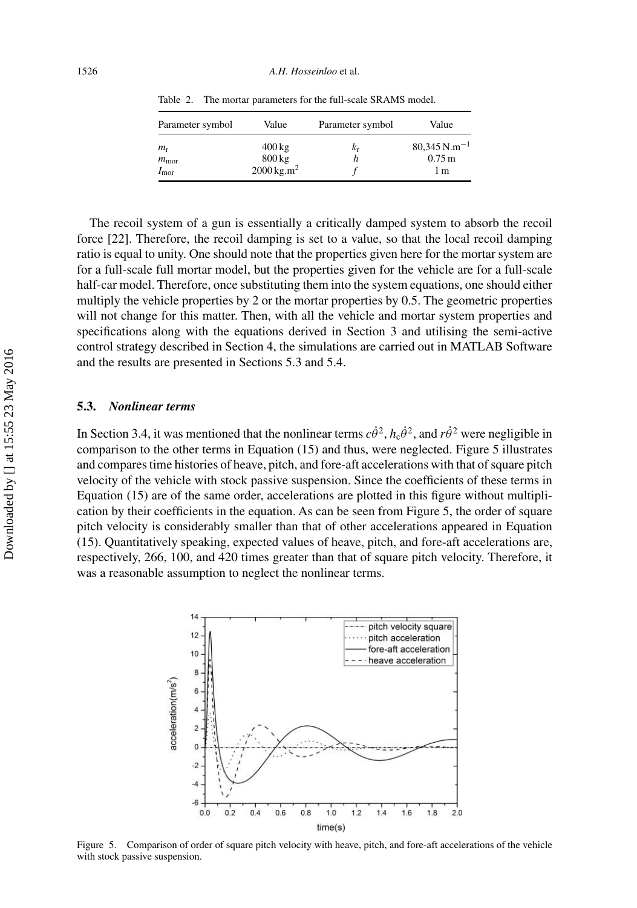| Parameter symbol | Value                    | Parameter symbol | Value                      |
|------------------|--------------------------|------------------|----------------------------|
| $m_{\rm r}$      | $400 \text{ kg}$         | $K_{\Gamma}$     | $80,345$ N.m <sup>-1</sup> |
| $m_{\rm mor}$    | $800 \text{ kg}$         |                  | $0.75 \text{ m}$           |
| $I_{\rm mor}$    | $2000 \,\mathrm{kg.m^2}$ |                  | 1 m                        |

<span id="page-12-0"></span>Table 2. The mortar parameters for the full-scale SRAMS model.

The recoil system of a gun is essentially a critically damped system to absorb the recoil force [\[22\]](#page-22-0). Therefore, the recoil damping is set to a value, so that the local recoil damping ratio is equal to unity. One should note that the properties given here for the mortar system are for a full-scale full mortar model, but the properties given for the vehicle are for a full-scale half-car model. Therefore, once substituting them into the system equations, one should either multiply the vehicle properties by 2 or the mortar properties by 0.5. The geometric properties will not change for this matter. Then, with all the vehicle and mortar system properties and specifications along with the equations derived in Section 3 and utilising the semi-active control strategy described in Section 4, the simulations are carried out in MATLAB Software and the results are presented in Sections 5.3 and 5.4.

#### **5.3.** *Nonlinear terms*

In Section 3.4, it was mentioned that the nonlinear terms  $c\dot{\theta}^2$ ,  $h_c\dot{\theta}^2$ , and  $r\dot{\theta}^2$  were negligible in comparison to the other terms in Equation [\(15\)](#page-7-0) and thus, were neglected. Figure 5 illustrates and compares time histories of heave, pitch, and fore-aft accelerations with that of square pitch velocity of the vehicle with stock passive suspension. Since the coefficients of these terms in Equation [\(15\)](#page-7-0) are of the same order, accelerations are plotted in this figure without multiplication by their coefficients in the equation. As can be seen from Figure 5, the order of square pitch velocity is considerably smaller than that of other accelerations appeared in Equation [\(15\)](#page-7-0). Quantitatively speaking, expected values of heave, pitch, and fore-aft accelerations are, respectively, 266, 100, and 420 times greater than that of square pitch velocity. Therefore, it was a reasonable assumption to neglect the nonlinear terms.



Figure 5. Comparison of order of square pitch velocity with heave, pitch, and fore-aft accelerations of the vehicle with stock passive suspension.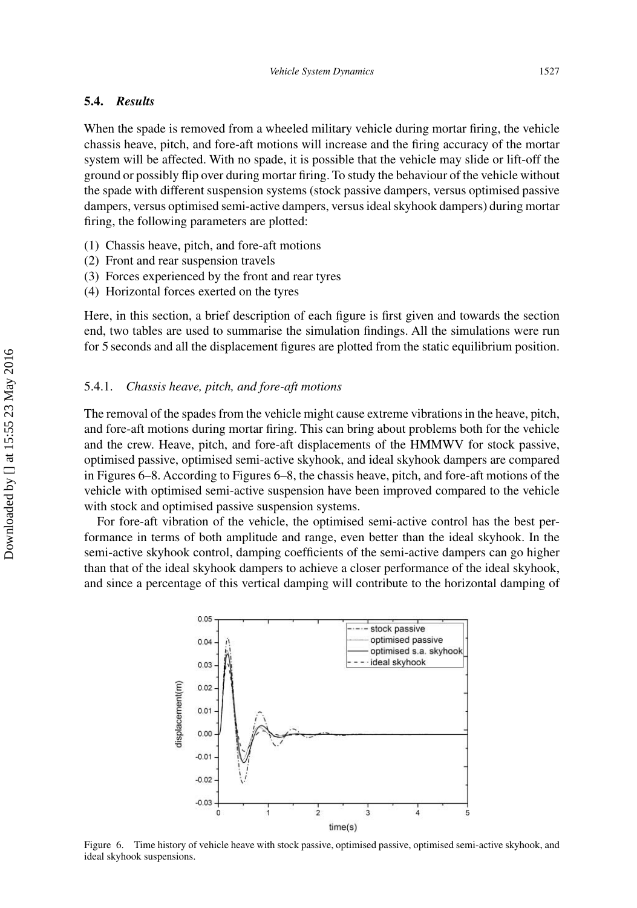# <span id="page-13-0"></span>**5.4.** *Results*

When the spade is removed from a wheeled military vehicle during mortar firing, the vehicle chassis heave, pitch, and fore-aft motions will increase and the firing accuracy of the mortar system will be affected. With no spade, it is possible that the vehicle may slide or lift-off the ground or possibly flip over during mortar firing. To study the behaviour of the vehicle without the spade with different suspension systems (stock passive dampers, versus optimised passive dampers, versus optimised semi-active dampers, versus ideal skyhook dampers) during mortar firing, the following parameters are plotted:

- (1) Chassis heave, pitch, and fore-aft motions
- (2) Front and rear suspension travels
- (3) Forces experienced by the front and rear tyres
- (4) Horizontal forces exerted on the tyres

Here, in this section, a brief description of each figure is first given and towards the section end, two tables are used to summarise the simulation findings. All the simulations were run for 5 seconds and all the displacement figures are plotted from the static equilibrium position.

# 5.4.1. *Chassis heave, pitch, and fore-aft motions*

The removal of the spades from the vehicle might cause extreme vibrations in the heave, pitch, and fore-aft motions during mortar firing. This can bring about problems both for the vehicle and the crew. Heave, pitch, and fore-aft displacements of the HMMWV for stock passive, optimised passive, optimised semi-active skyhook, and ideal skyhook dampers are compared in Figures 6[–8.](#page-14-0) According to Figures 6[–8,](#page-14-0) the chassis heave, pitch, and fore-aft motions of the vehicle with optimised semi-active suspension have been improved compared to the vehicle with stock and optimised passive suspension systems.

For fore-aft vibration of the vehicle, the optimised semi-active control has the best performance in terms of both amplitude and range, even better than the ideal skyhook. In the semi-active skyhook control, damping coefficients of the semi-active dampers can go higher than that of the ideal skyhook dampers to achieve a closer performance of the ideal skyhook, and since a percentage of this vertical damping will contribute to the horizontal damping of



Figure 6. Time history of vehicle heave with stock passive, optimised passive, optimised semi-active skyhook, and ideal skyhook suspensions.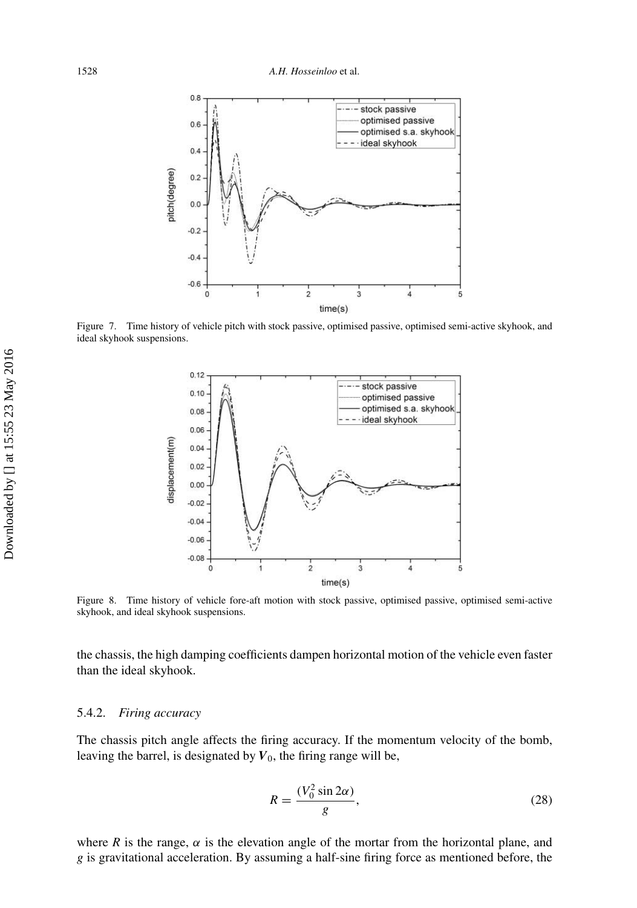<span id="page-14-0"></span>

Figure 7. Time history of vehicle pitch with stock passive, optimised passive, optimised semi-active skyhook, and ideal skyhook suspensions.



Figure 8. Time history of vehicle fore-aft motion with stock passive, optimised passive, optimised semi-active skyhook, and ideal skyhook suspensions.

the chassis, the high damping coefficients dampen horizontal motion of the vehicle even faster than the ideal skyhook.

# 5.4.2. *Firing accuracy*

The chassis pitch angle affects the firing accuracy. If the momentum velocity of the bomb, leaving the barrel, is designated by  $V_0$ , the firing range will be,

$$
R = \frac{(V_0^2 \sin 2\alpha)}{g},\tag{28}
$$

where *R* is the range,  $\alpha$  is the elevation angle of the mortar from the horizontal plane, and *g* is gravitational acceleration. By assuming a half-sine firing force as mentioned before, the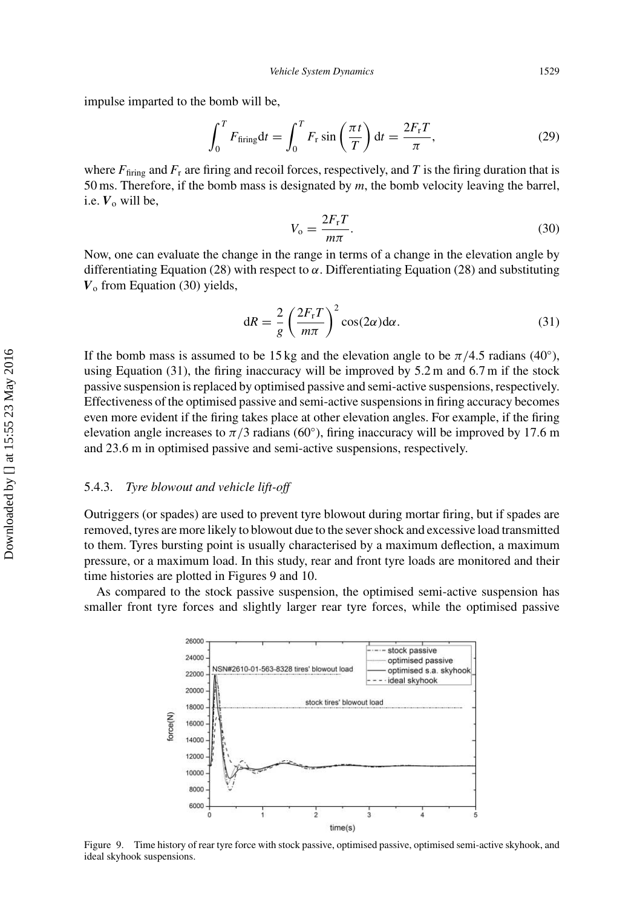<span id="page-15-0"></span>impulse imparted to the bomb will be,

$$
\int_0^T F_{\text{fring}} \mathrm{d}t = \int_0^T F_r \sin\left(\frac{\pi t}{T}\right) \mathrm{d}t = \frac{2F_r T}{\pi},\tag{29}
$$

where  $F_{\text{fring}}$  and  $F_{\text{r}}$  are firing and recoil forces, respectively, and *T* is the firing duration that is 50 ms. Therefore, if the bomb mass is designated by *m*, the bomb velocity leaving the barrel, i.e.  $V_0$  will be,

$$
V_o = \frac{2F_{\rm r}T}{m\pi}.
$$
\n(30)

Now, one can evaluate the change in the range in terms of a change in the elevation angle by differentiating Equation [\(28\)](#page-14-0) with respect to *α*. Differentiating Equation [\(28\)](#page-14-0) and substituting *V*<sup>o</sup> from Equation (30) yields,

$$
dR = \frac{2}{g} \left( \frac{2F_{\rm r}T}{m\pi} \right)^2 \cos(2\alpha) d\alpha.
$$
 (31)

If the bomb mass is assumed to be 15 kg and the elevation angle to be  $\pi/4.5$  radians (40<sup>°</sup>), using Equation  $(31)$ , the firing inaccuracy will be improved by 5.2 m and 6.7 m if the stock passive suspension is replaced by optimised passive and semi-active suspensions, respectively. Effectiveness of the optimised passive and semi-active suspensions in firing accuracy becomes even more evident if the firing takes place at other elevation angles. For example, if the firing elevation angle increases to  $\pi/3$  radians (60<sup>°</sup>), firing inaccuracy will be improved by 17.6 m and 23.6 m in optimised passive and semi-active suspensions, respectively.

# 5.4.3. *Tyre blowout and vehicle lift-off*

Outriggers (or spades) are used to prevent tyre blowout during mortar firing, but if spades are removed, tyres are more likely to blowout due to the sever shock and excessive load transmitted to them. Tyres bursting point is usually characterised by a maximum deflection, a maximum pressure, or a maximum load. In this study, rear and front tyre loads are monitored and their time histories are plotted in Figures 9 and [10.](#page-16-0)

As compared to the stock passive suspension, the optimised semi-active suspension has smaller front tyre forces and slightly larger rear tyre forces, while the optimised passive



Figure 9. Time history of rear tyre force with stock passive, optimised passive, optimised semi-active skyhook, and ideal skyhook suspensions.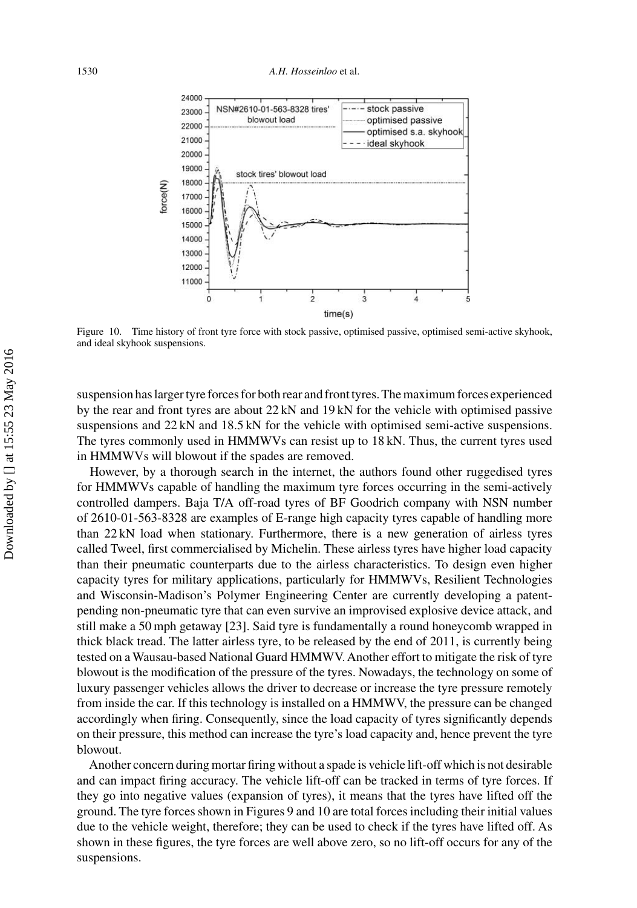<span id="page-16-0"></span>

Figure 10. Time history of front tyre force with stock passive, optimised passive, optimised semi-active skyhook, and ideal skyhook suspensions.

suspension has larger tyre forces for both rear and front tyres. The maximum forces experienced by the rear and front tyres are about 22 kN and 19 kN for the vehicle with optimised passive suspensions and 22 kN and 18.5 kN for the vehicle with optimised semi-active suspensions. The tyres commonly used in HMMWVs can resist up to 18 kN. Thus, the current tyres used in HMMWVs will blowout if the spades are removed.

However, by a thorough search in the internet, the authors found other ruggedised tyres for HMMWVs capable of handling the maximum tyre forces occurring in the semi-actively controlled dampers. Baja T/A off-road tyres of BF Goodrich company with NSN number of 2610-01-563-8328 are examples of E-range high capacity tyres capable of handling more than 22 kN load when stationary. Furthermore, there is a new generation of airless tyres called Tweel, first commercialised by Michelin. These airless tyres have higher load capacity than their pneumatic counterparts due to the airless characteristics. To design even higher capacity tyres for military applications, particularly for HMMWVs, Resilient Technologies and Wisconsin-Madison's Polymer Engineering Center are currently developing a patentpending non-pneumatic tyre that can even survive an improvised explosive device attack, and still make a 50 mph getaway [\[23\]](#page-22-0). Said tyre is fundamentally a round honeycomb wrapped in thick black tread. The latter airless tyre, to be released by the end of 2011, is currently being tested on a Wausau-based National Guard HMMWV. Another effort to mitigate the risk of tyre blowout is the modification of the pressure of the tyres. Nowadays, the technology on some of luxury passenger vehicles allows the driver to decrease or increase the tyre pressure remotely from inside the car. If this technology is installed on a HMMWV, the pressure can be changed accordingly when firing. Consequently, since the load capacity of tyres significantly depends on their pressure, this method can increase the tyre's load capacity and, hence prevent the tyre blowout.

Another concern during mortar firing without a spade is vehicle lift-off which is not desirable and can impact firing accuracy. The vehicle lift-off can be tracked in terms of tyre forces. If they go into negative values (expansion of tyres), it means that the tyres have lifted off the ground. The tyre forces shown in Figures [9](#page-15-0) and 10 are total forces including their initial values due to the vehicle weight, therefore; they can be used to check if the tyres have lifted off. As shown in these figures, the tyre forces are well above zero, so no lift-off occurs for any of the suspensions.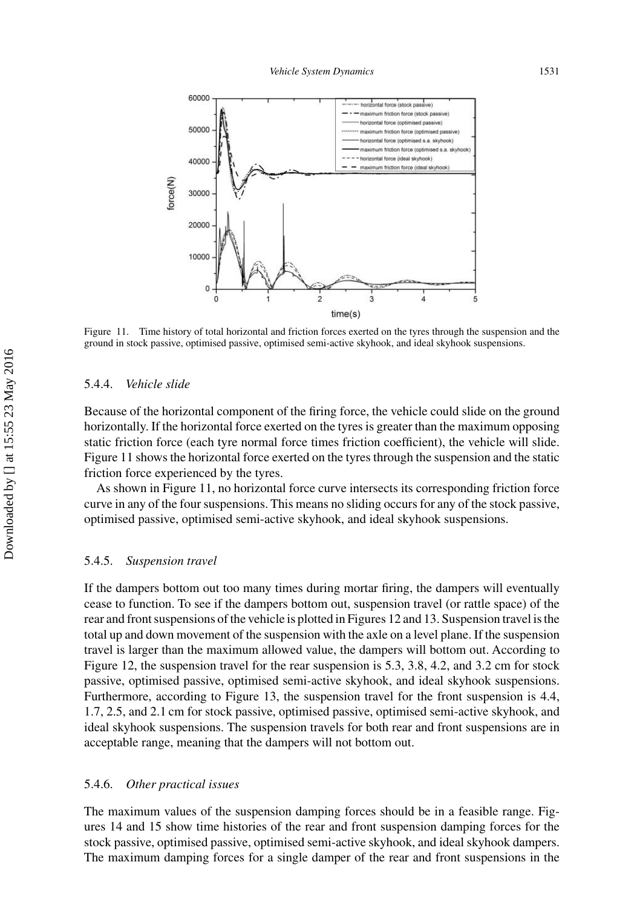

Figure 11. Time history of total horizontal and friction forces exerted on the tyres through the suspension and the ground in stock passive, optimised passive, optimised semi-active skyhook, and ideal skyhook suspensions.

# 5.4.4. *Vehicle slide*

Because of the horizontal component of the firing force, the vehicle could slide on the ground horizontally. If the horizontal force exerted on the tyres is greater than the maximum opposing static friction force (each tyre normal force times friction coefficient), the vehicle will slide. Figure 11 shows the horizontal force exerted on the tyres through the suspension and the static friction force experienced by the tyres.

As shown in Figure 11, no horizontal force curve intersects its corresponding friction force curve in any of the four suspensions. This means no sliding occurs for any of the stock passive, optimised passive, optimised semi-active skyhook, and ideal skyhook suspensions.

#### 5.4.5. *Suspension travel*

If the dampers bottom out too many times during mortar firing, the dampers will eventually cease to function. To see if the dampers bottom out, suspension travel (or rattle space) of the rear and front suspensions of the vehicle is plotted in Figures [12](#page-18-0) and [13.](#page-18-0) Suspension travel is the total up and down movement of the suspension with the axle on a level plane. If the suspension travel is larger than the maximum allowed value, the dampers will bottom out. According to Figure [12,](#page-18-0) the suspension travel for the rear suspension is 5.3, 3.8, 4.2, and 3.2 cm for stock passive, optimised passive, optimised semi-active skyhook, and ideal skyhook suspensions. Furthermore, according to Figure [13,](#page-18-0) the suspension travel for the front suspension is 4.4, 1.7, 2.5, and 2.1 cm for stock passive, optimised passive, optimised semi-active skyhook, and ideal skyhook suspensions. The suspension travels for both rear and front suspensions are in acceptable range, meaning that the dampers will not bottom out.

# 5.4.6. *Other practical issues*

The maximum values of the suspension damping forces should be in a feasible range. Figures [14](#page-19-0) and [15](#page-19-0) show time histories of the rear and front suspension damping forces for the stock passive, optimised passive, optimised semi-active skyhook, and ideal skyhook dampers. The maximum damping forces for a single damper of the rear and front suspensions in the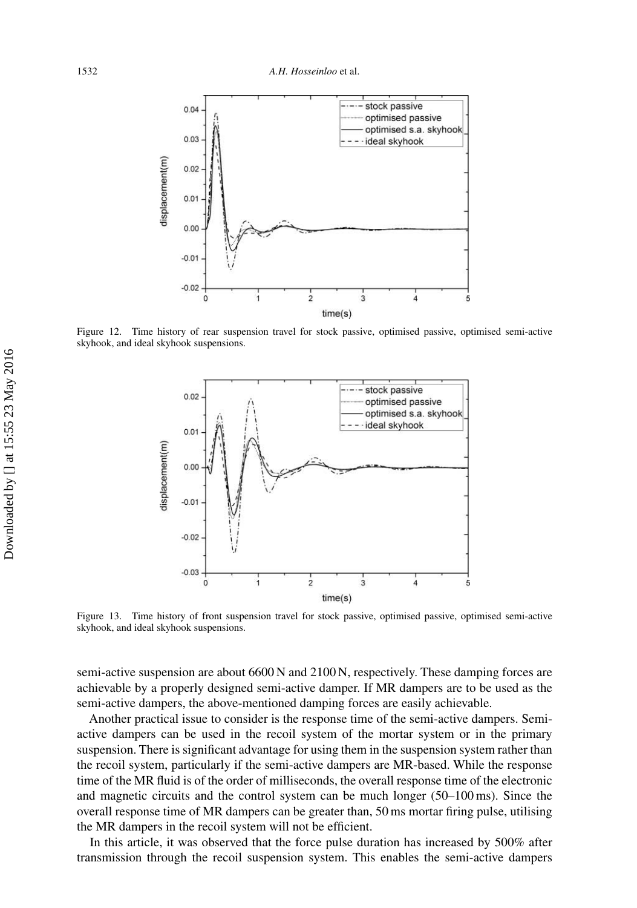<span id="page-18-0"></span>

Figure 12. Time history of rear suspension travel for stock passive, optimised passive, optimised semi-active skyhook, and ideal skyhook suspensions.



Figure 13. Time history of front suspension travel for stock passive, optimised passive, optimised semi-active skyhook, and ideal skyhook suspensions.

semi-active suspension are about 6600 N and 2100 N, respectively. These damping forces are achievable by a properly designed semi-active damper. If MR dampers are to be used as the semi-active dampers, the above-mentioned damping forces are easily achievable.

Another practical issue to consider is the response time of the semi-active dampers. Semiactive dampers can be used in the recoil system of the mortar system or in the primary suspension. There is significant advantage for using them in the suspension system rather than the recoil system, particularly if the semi-active dampers are MR-based. While the response time of the MR fluid is of the order of milliseconds, the overall response time of the electronic and magnetic circuits and the control system can be much longer (50–100 ms). Since the overall response time of MR dampers can be greater than, 50 ms mortar firing pulse, utilising the MR dampers in the recoil system will not be efficient.

In this article, it was observed that the force pulse duration has increased by 500% after transmission through the recoil suspension system. This enables the semi-active dampers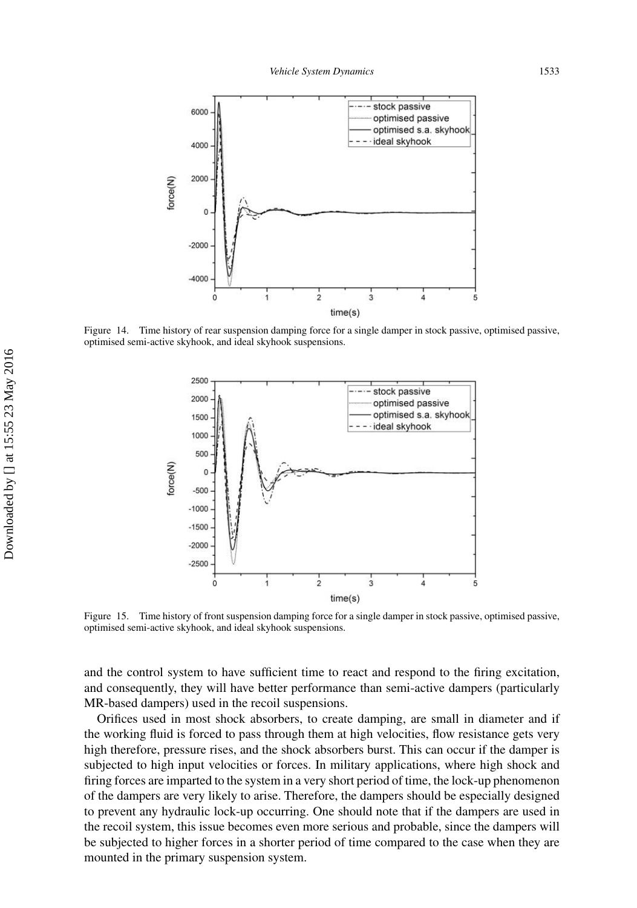<span id="page-19-0"></span>

Figure 14. Time history of rear suspension damping force for a single damper in stock passive, optimised passive, optimised semi-active skyhook, and ideal skyhook suspensions.



Figure 15. Time history of front suspension damping force for a single damper in stock passive, optimised passive, optimised semi-active skyhook, and ideal skyhook suspensions.

and the control system to have sufficient time to react and respond to the firing excitation, and consequently, they will have better performance than semi-active dampers (particularly MR-based dampers) used in the recoil suspensions.

Orifices used in most shock absorbers, to create damping, are small in diameter and if the working fluid is forced to pass through them at high velocities, flow resistance gets very high therefore, pressure rises, and the shock absorbers burst. This can occur if the damper is subjected to high input velocities or forces. In military applications, where high shock and firing forces are imparted to the system in a very short period of time, the lock-up phenomenon of the dampers are very likely to arise. Therefore, the dampers should be especially designed to prevent any hydraulic lock-up occurring. One should note that if the dampers are used in the recoil system, this issue becomes even more serious and probable, since the dampers will be subjected to higher forces in a shorter period of time compared to the case when they are mounted in the primary suspension system.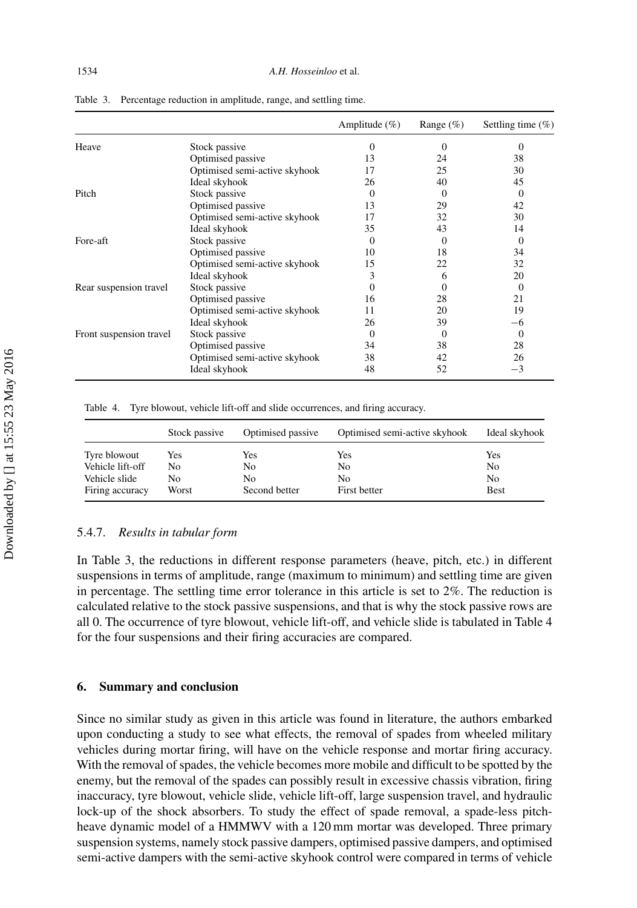|                         |                               | Amplitude $(\% )$ | Range $(\%)$ | Settling time $(\% )$ |
|-------------------------|-------------------------------|-------------------|--------------|-----------------------|
| Heave                   | Stock passive                 | 0                 | $\Omega$     | $\theta$              |
|                         | Optimised passive             | 13                | 24           | 38                    |
|                         | Optimised semi-active skyhook | 17                | 25           | 30                    |
|                         | Ideal skyhook                 | 26                | 40           | 45                    |
| Pitch                   | Stock passive                 | $\theta$          | $\Omega$     | $\Omega$              |
|                         | Optimised passive             | 13                | 29           | 42                    |
|                         | Optimised semi-active skyhook | 17                | 32           | 30                    |
|                         | Ideal skyhook                 | 35                | 43           | 14                    |
| Fore-aft                | Stock passive                 | 0                 | 0            | $\Omega$              |
|                         | Optimised passive             | 10                | 18           | 34                    |
|                         | Optimised semi-active skyhook | 15                | 22           | 32                    |
|                         | Ideal skyhook                 | 3                 | 6            | 20                    |
| Rear suspension travel  | Stock passive                 | 0                 |              | $\Omega$              |
|                         | Optimised passive             | 16                | 28           | 21                    |
|                         | Optimised semi-active skyhook | 11                | 20           | 19                    |
|                         | Ideal skyhook                 | 26                | 39           | -6                    |
| Front suspension travel | Stock passive                 | $\theta$          | $\Omega$     | $\Omega$              |
|                         | Optimised passive             | 34                | 38           | 28                    |
|                         | Optimised semi-active skyhook | 38                | 42           | 26                    |
|                         | Ideal skyhook                 | 48                | 52           | $-3$                  |

Table 3. Percentage reduction in amplitude, range, and settling time.

Table 4. Tyre blowout, vehicle lift-off and slide occurrences, and firing accuracy.

|                  | Stock passive | Optimised passive | Optimised semi-active skyhook | Ideal skyhook |
|------------------|---------------|-------------------|-------------------------------|---------------|
| Tyre blowout     | Yes           | Yes               | Yes                           | Yes           |
| Vehicle lift-off | No            | No                | No                            | No            |
| Vehicle slide    | No            | No                | No                            | No            |
| Firing accuracy  | Worst         | Second better     | First better                  | <b>Best</b>   |

#### 5.4.7. *Results in tabular form*

In Table 3, the reductions in different response parameters (heave, pitch, etc.) in different suspensions in terms of amplitude, range (maximum to minimum) and settling time are given in percentage. The settling time error tolerance in this article is set to  $2\%$ . The reduction is calculated relative to the stock passive suspensions, and that is why the stock passive rows are all 0. The occurrence of tyre blowout, vehicle lift-off, and vehicle slide is tabulated in Table 4 for the four suspensions and their firing accuracies are compared.

#### **6. Summary and conclusion**

Since no similar study as given in this article was found in literature, the authors embarked upon conducting a study to see what effects, the removal of spades from wheeled military vehicles during mortar firing, will have on the vehicle response and mortar firing accuracy. With the removal of spades, the vehicle becomes more mobile and difficult to be spotted by the enemy, but the removal of the spades can possibly result in excessive chassis vibration, firing inaccuracy, tyre blowout, vehicle slide, vehicle lift-off, large suspension travel, and hydraulic lock-up of the shock absorbers. To study the effect of spade removal, a spade-less pitchheave dynamic model of a HMMWV with a 120 mm mortar was developed. Three primary suspension systems, namely stock passive dampers, optimised passive dampers, and optimised semi-active dampers with the semi-active skyhook control were compared in terms of vehicle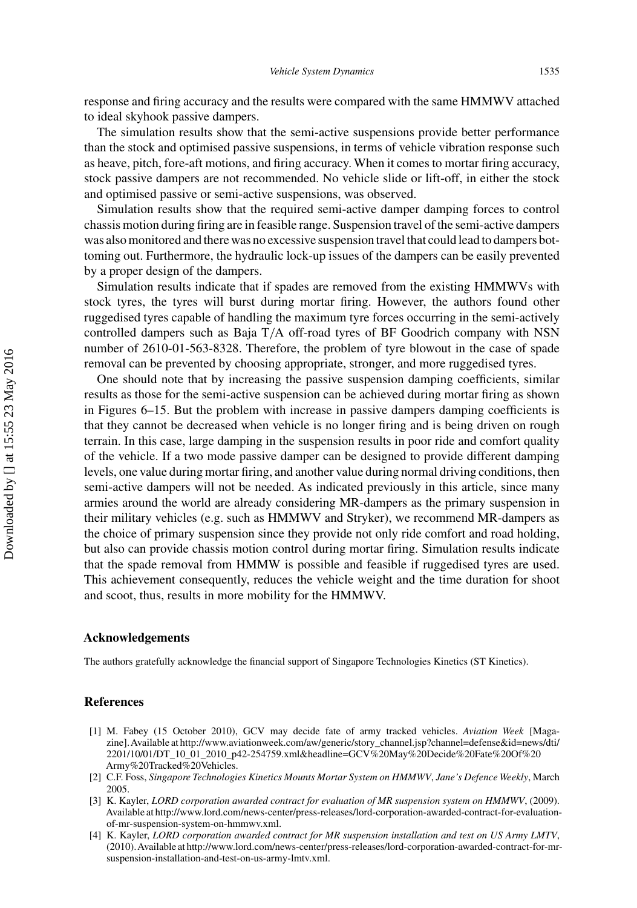<span id="page-21-0"></span>response and firing accuracy and the results were compared with the same HMMWV attached to ideal skyhook passive dampers.

The simulation results show that the semi-active suspensions provide better performance than the stock and optimised passive suspensions, in terms of vehicle vibration response such as heave, pitch, fore-aft motions, and firing accuracy. When it comes to mortar firing accuracy, stock passive dampers are not recommended. No vehicle slide or lift-off, in either the stock and optimised passive or semi-active suspensions, was observed.

Simulation results show that the required semi-active damper damping forces to control chassis motion during firing are in feasible range. Suspension travel of the semi-active dampers was also monitored and there was no excessive suspension travel that could lead to dampers bottoming out. Furthermore, the hydraulic lock-up issues of the dampers can be easily prevented by a proper design of the dampers.

Simulation results indicate that if spades are removed from the existing HMMWVs with stock tyres, the tyres will burst during mortar firing. However, the authors found other ruggedised tyres capable of handling the maximum tyre forces occurring in the semi-actively controlled dampers such as Baja T*/*A off-road tyres of BF Goodrich company with NSN number of 2610-01-563-8328. Therefore, the problem of tyre blowout in the case of spade removal can be prevented by choosing appropriate, stronger, and more ruggedised tyres.

One should note that by increasing the passive suspension damping coefficients, similar results as those for the semi-active suspension can be achieved during mortar firing as shown in Figures [6](#page-13-0)[–15.](#page-19-0) But the problem with increase in passive dampers damping coefficients is that they cannot be decreased when vehicle is no longer firing and is being driven on rough terrain. In this case, large damping in the suspension results in poor ride and comfort quality of the vehicle. If a two mode passive damper can be designed to provide different damping levels, one value during mortar firing, and another value during normal driving conditions, then semi-active dampers will not be needed. As indicated previously in this article, since many armies around the world are already considering MR-dampers as the primary suspension in their military vehicles (e.g. such as HMMWV and Stryker), we recommend MR-dampers as the choice of primary suspension since they provide not only ride comfort and road holding, but also can provide chassis motion control during mortar firing. Simulation results indicate that the spade removal from HMMW is possible and feasible if ruggedised tyres are used. This achievement consequently, reduces the vehicle weight and the time duration for shoot and scoot, thus, results in more mobility for the HMMWV.

#### **Acknowledgements**

The authors gratefully acknowledge the financial support of Singapore Technologies Kinetics (ST Kinetics).

#### **References**

- [1] M. Fabey (15 October 2010), GCV may decide fate of army tracked vehicles. *Aviation Week* [Magazine].Available at [http://www.aviationweek.com/aw/generic/story\\_channel.jsp?channel=defense&id=news/dti/](http://www.aviationweek.com/aw/generic/story_channel.jsp?channel=defense{&}id=news/dti/2201/10/01/DT_10_01_2010_p42-254759.xml{&}headline=GCV{%}20May{%}20Decide{%}20Fate{%}20Of{%}20Army{%}20Tracked{%}20Vehicles.) [2201/10/01/DT\\_10\\_01\\_2010\\_p42-254759.xml&headline=GCV%20May%20Decide%20Fate%20Of%20](http://www.aviationweek.com/aw/generic/story_channel.jsp?channel=defense{&}id=news/dti/2201/10/01/DT_10_01_2010_p42-254759.xml{&}headline=GCV{%}20May{%}20Decide{%}20Fate{%}20Of{%}20Army{%}20Tracked{%}20Vehicles.) [Army%20Tracked%20Vehicles.](http://www.aviationweek.com/aw/generic/story_channel.jsp?channel=defense{&}id=news/dti/2201/10/01/DT_10_01_2010_p42-254759.xml{&}headline=GCV{%}20May{%}20Decide{%}20Fate{%}20Of{%}20Army{%}20Tracked{%}20Vehicles.)
- [2] C.F. Foss, *Singapore Technologies Kinetics Mounts Mortar System on HMMWV*, *Jane's Defence Weekly*, March 2005.
- [3] K. Kayler, *LORD corporation awarded contract for evaluation of MR suspension system on HMMWV*, (2009). Available a[t http://www.lord.com/news-center/press-releases/lord-corporation-awarded-contract-for-evaluation](http://www.lord.com/news-center/press-releases/lord-corporation-awarded-contract-for-evaluation-of-mr-suspension-system-on-hmmwv.xml.)[of-mr-suspension-system-on-hmmwv.xml.](http://www.lord.com/news-center/press-releases/lord-corporation-awarded-contract-for-evaluation-of-mr-suspension-system-on-hmmwv.xml.)
- [4] K. Kayler, *LORD corporation awarded contract for MR suspension installation and test on US Army LMTV*, (2010).Available at [http://www.lord.com/news-center/press-releases/lord-corporation-awarded-contract-for-mr](http://www.lord.com/news-center/press-releases/lord-corporation-awarded-contract-for-mr-suspension-installation-and-test-on-us-army-lmtv.xml.)[suspension-installation-and-test-on-us-army-lmtv.xml.](http://www.lord.com/news-center/press-releases/lord-corporation-awarded-contract-for-mr-suspension-installation-and-test-on-us-army-lmtv.xml.)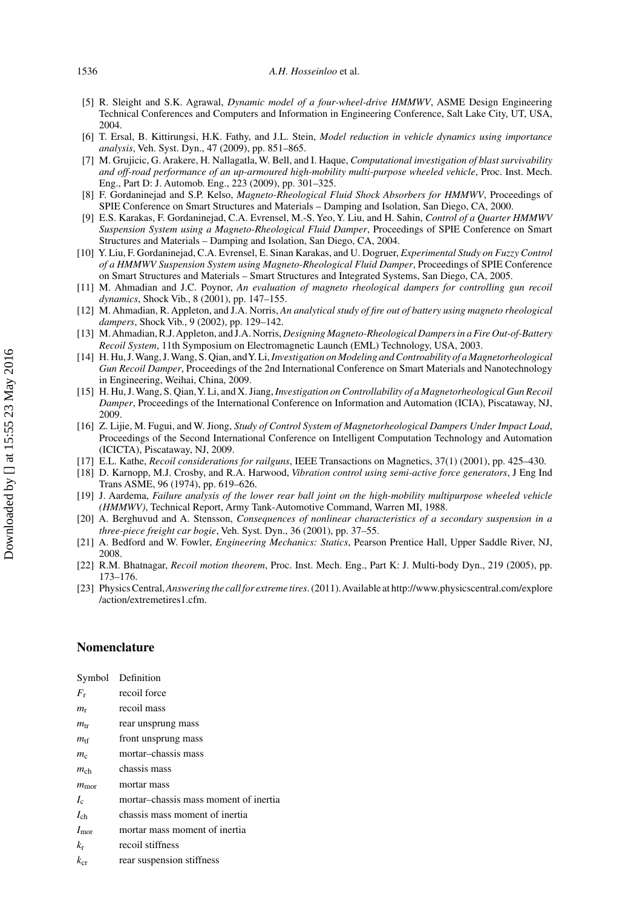- <span id="page-22-0"></span>[5] R. Sleight and S.K. Agrawal, *Dynamic model of a four-wheel-drive HMMWV*, ASME Design Engineering Technical Conferences and Computers and Information in Engineering Conference, Salt Lake City, UT, USA, 2004.
- [6] T. Ersal, B. Kittirungsi, H.K. Fathy, and J.L. Stein, *Model reduction in vehicle dynamics using importance analysis*, Veh. Syst. Dyn., 47 (2009), pp. 851–865.
- [7] M. Grujicic, G. Arakere, H. Nallagatla, W. Bell, and I. Haque, *Computational investigation of blast survivability and off-road performance of an up-armoured high-mobility multi-purpose wheeled vehicle*, Proc. Inst. Mech. Eng., Part D: J. Automob. Eng., 223 (2009), pp. 301–325.
- [8] F. Gordaninejad and S.P. Kelso, *Magneto-Rheological Fluid Shock Absorbers for HMMWV*, Proceedings of SPIE Conference on Smart Structures and Materials – Damping and Isolation, San Diego, CA, 2000.
- [9] E.S. Karakas, F. Gordaninejad, C.A. Evrensel, M.-S. Yeo, Y. Liu, and H. Sahin, *Control of a Quarter HMMWV Suspension System using a Magneto-Rheological Fluid Damper*, Proceedings of SPIE Conference on Smart Structures and Materials – Damping and Isolation, San Diego, CA, 2004.
- [10] Y. Liu, F. Gordaninejad, C.A. Evrensel, E. Sinan Karakas, and U. Dogruer, *Experimental Study on Fuzzy Control of a HMMWV Suspension System using Magneto-Rheological Fluid Damper*, Proceedings of SPIE Conference on Smart Structures and Materials – Smart Structures and Integrated Systems, San Diego, CA, 2005.
- [11] M. Ahmadian and J.C. Poynor, *An evaluation of magneto rheological dampers for controlling gun recoil dynamics*, Shock Vib., 8 (2001), pp. 147–155.
- [12] M. Ahmadian, R. Appleton, and J.A. Norris, *An analytical study of fire out of battery using magneto rheological dampers*, Shock Vib., 9 (2002), pp. 129–142.
- [13] M.Ahmadian, R.J.Appleton, and J.A. Norris, *Designing Magneto-Rheological Dampers in a Fire Out-of-Battery Recoil System*, 11th Symposium on Electromagnetic Launch (EML) Technology, USA, 2003.
- [14] H. Hu, J.Wang, J.Wang, S. Qian, andY. Li,*Investigation on Modeling and Controability of a Magnetorheological Gun Recoil Damper*, Proceedings of the 2nd International Conference on Smart Materials and Nanotechnology in Engineering, Weihai, China, 2009.
- [15] H. Hu, J. Wang, S. Qian,Y. Li, and X. Jiang, *Investigation on Controllability of a Magnetorheological Gun Recoil Damper*, Proceedings of the International Conference on Information and Automation (ICIA), Piscataway, NJ, 2009.
- [16] Z. Lijie, M. Fugui, and W. Jiong, *Study of Control System of Magnetorheological Dampers Under Impact Load*, Proceedings of the Second International Conference on Intelligent Computation Technology and Automation (ICICTA), Piscataway, NJ, 2009.
- [17] E.L. Kathe, *Recoil considerations for railguns*, IEEE Transactions on Magnetics, 37(1) (2001), pp. 425–430.
- [18] D. Karnopp, M.J. Crosby, and R.A. Harwood, *Vibration control using semi-active force generators*, J Eng Ind Trans ASME, 96 (1974), pp. 619–626.
- [19] J. Aardema, *Failure analysis of the lower rear ball joint on the high-mobility multipurpose wheeled vehicle (HMMWV)*, Technical Report, Army Tank-Automotive Command, Warren MI, 1988.
- [20] A. Berghuvud and A. Stensson, *Consequences of nonlinear characteristics of a secondary suspension in a three-piece freight car bogie*, Veh. Syst. Dyn., 36 (2001), pp. 37–55.
- [21] A. Bedford and W. Fowler, *Engineering Mechanics: Statics*, Pearson Prentice Hall, Upper Saddle River, NJ, 2008.
- [22] R.M. Bhatnagar, *Recoil motion theorem*, Proc. Inst. Mech. Eng., Part K: J. Multi-body Dyn., 219 (2005), pp. 173–176.
- [23] Physics Central,*Answering the call for extreme tires*. (2011).Available a[t http://www.physicscentral.com/explore](http://www.physicscentral.com/explore/action/extremetires1.cfm) [/action/extremetires1.cfm.](http://www.physicscentral.com/explore/action/extremetires1.cfm)

# **Nomenclature**

| Symbol Definition                     |
|---------------------------------------|
| recoil force                          |
| recoil mass                           |
| rear unsprung mass                    |
| front unsprung mass                   |
| mortar-chassis mass                   |
| chassis mass                          |
| mortar mass                           |
| mortar-chassis mass moment of inertia |
| chassis mass moment of inertia        |
| mortar mass moment of inertia         |
| recoil stiffness                      |
| rear suspension stiffness             |
|                                       |